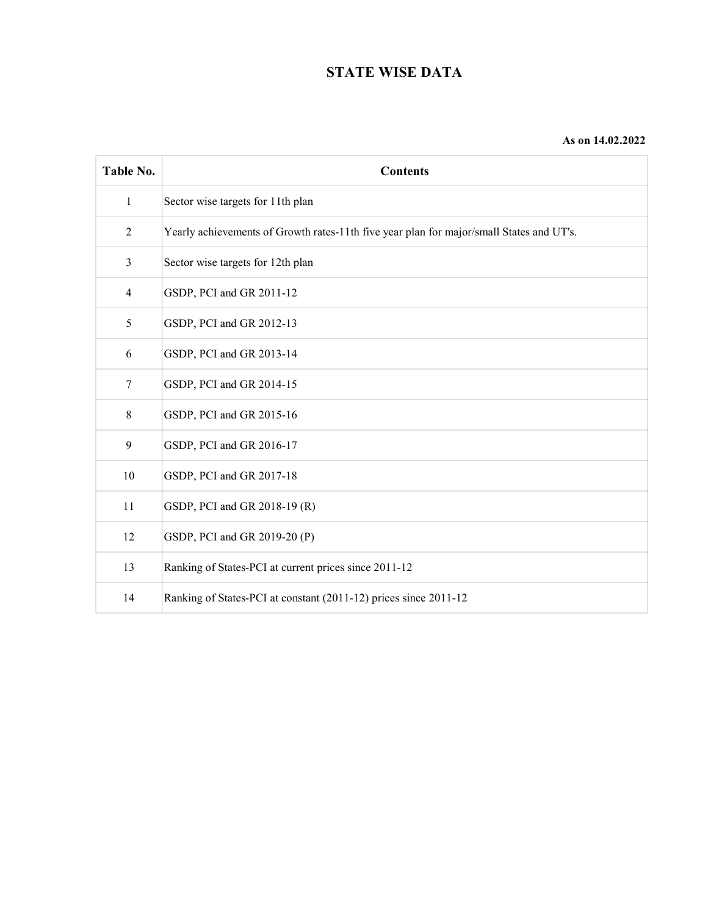# **STATE WISE DATA**

| Table No.      | <b>Contents</b>                                                                          |
|----------------|------------------------------------------------------------------------------------------|
| $\mathbf{1}$   | Sector wise targets for 11th plan                                                        |
| $\overline{2}$ | Yearly achievements of Growth rates-11th five year plan for major/small States and UT's. |
| 3              | Sector wise targets for 12th plan                                                        |
| 4              | GSDP, PCI and GR 2011-12                                                                 |
| 5              | GSDP, PCI and GR 2012-13                                                                 |
| 6              | GSDP, PCI and GR 2013-14                                                                 |
| 7              | GSDP, PCI and GR 2014-15                                                                 |
| 8              | GSDP, PCI and GR 2015-16                                                                 |
| 9              | GSDP, PCI and GR 2016-17                                                                 |
| 10             | GSDP, PCI and GR 2017-18                                                                 |
| 11             | GSDP, PCI and GR 2018-19 (R)                                                             |
| 12             | GSDP, PCI and GR 2019-20 (P)                                                             |
| 13             | Ranking of States-PCI at current prices since 2011-12                                    |
| 14             | Ranking of States-PCI at constant (2011-12) prices since 2011-12                         |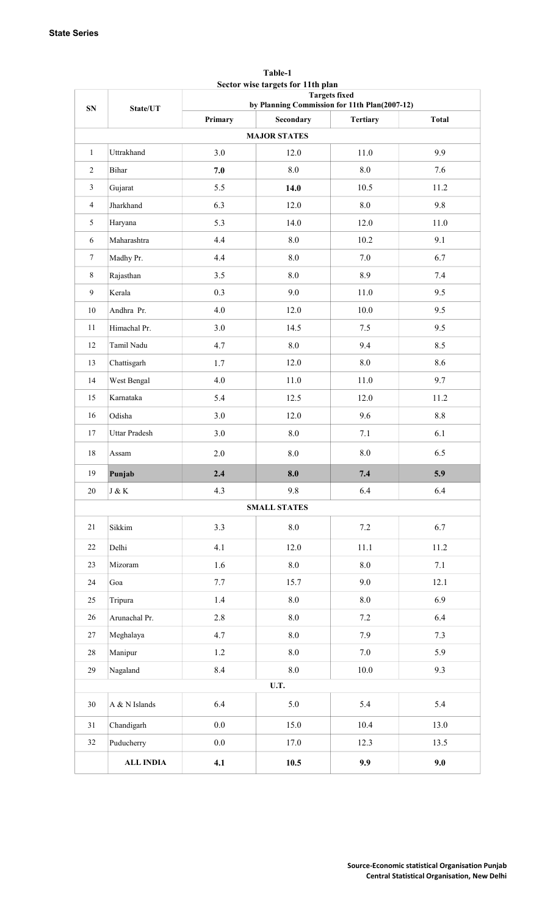|                |                  | <b>Targets fixed</b><br>by Planning Commission for 11th Plan(2007-12) |                     |                 |              |  |  |
|----------------|------------------|-----------------------------------------------------------------------|---------------------|-----------------|--------------|--|--|
| ${\bf SN}$     | State/UT         | Primary                                                               | Secondary           | <b>Tertiary</b> | <b>Total</b> |  |  |
|                |                  |                                                                       | <b>MAJOR STATES</b> |                 |              |  |  |
| $\mathbf{1}$   | Uttrakhand       | 3.0                                                                   | 12.0                | 11.0            | 9.9          |  |  |
| 2              | Bihar            | 7.0                                                                   | $8.0\,$             | 8.0             | 7.6          |  |  |
| $\mathfrak{Z}$ | Gujarat          | 5.5                                                                   | 14.0                | 10.5            | 11.2         |  |  |
| $\overline{4}$ | Jharkhand        | 6.3                                                                   | 12.0                | 8.0             | 9.8          |  |  |
| 5              | Haryana          | 5.3                                                                   | 14.0                | 12.0            | 11.0         |  |  |
| 6              | Maharashtra      | 4.4                                                                   | 8.0                 | 10.2            | 9.1          |  |  |
| $\tau$         | Madhy Pr.        | 4.4                                                                   | 8.0                 | 7.0             | 6.7          |  |  |
| $\,8\,$        | Rajasthan        | 3.5                                                                   | $\boldsymbol{8.0}$  | 8.9             | 7.4          |  |  |
| $\overline{9}$ | Kerala           | 0.3                                                                   | 9.0                 | 11.0            | 9.5          |  |  |
| $10\,$         | Andhra Pr.       | 4.0                                                                   | 12.0                | 10.0            | 9.5          |  |  |
| 11             | Himachal Pr.     | 3.0                                                                   | 14.5                | 7.5             | 9.5          |  |  |
| 12             | Tamil Nadu       | 4.7                                                                   | $\boldsymbol{8.0}$  | 9.4             | 8.5          |  |  |
| 13             | Chattisgarh      | 1.7                                                                   | 12.0                | $\!\!\!\!\!8.0$ | 8.6          |  |  |
| 14             | West Bengal      | 4.0                                                                   | $11.0\,$            | 11.0            | 9.7          |  |  |
| 15             | Karnataka        | 5.4                                                                   | 12.5                | 12.0            | 11.2         |  |  |
| 16             | Odisha           | 3.0                                                                   | 12.0                | 9.6             | $8.8\,$      |  |  |
| 17             | Uttar Pradesh    | 3.0                                                                   | $\boldsymbol{8.0}$  | 7.1             | 6.1          |  |  |
| $18\,$         | Assam            | $2.0\,$                                                               | $\boldsymbol{8.0}$  | $\rm 8.0$       | 6.5          |  |  |
| 19             | Punjab           | 2.4                                                                   | 8.0                 | 7.4             | 5.9          |  |  |
| 20             | $J\ \&\ K$       | 4.3                                                                   | 9.8                 | 6.4             | 6.4          |  |  |
|                |                  |                                                                       | <b>SMALL STATES</b> |                 |              |  |  |
| 21             | Sikkim           | 3.3                                                                   | $8.0\,$             | 7.2             | 6.7          |  |  |
| 22             | Delhi            | 4.1                                                                   | 12.0                | 11.1            | 11.2         |  |  |
| 23             | Mizoram          | 1.6                                                                   | $8.0\,$             | 8.0             | 7.1          |  |  |
| 24             | Goa              | 7.7                                                                   | 15.7                | 9.0             | 12.1         |  |  |
| 25             | Tripura          | 1.4                                                                   | $\rm 8.0$           | 8.0             | 6.9          |  |  |
| 26             | Arunachal Pr.    | 2.8                                                                   | 8.0                 | 7.2             | 6.4          |  |  |
| 27             | Meghalaya        | 4.7                                                                   | $\ \, 8.0$          | 7.9             | 7.3          |  |  |
| 28             | Manipur          | 1.2                                                                   | 8.0                 | 7.0             | 5.9          |  |  |
| 29             | Nagaland         | 8.4                                                                   | 8.0                 | 10.0            | 9.3          |  |  |
|                |                  |                                                                       | U.T.                |                 |              |  |  |
| 30             | A & N Islands    | 6.4                                                                   | 5.0                 | 5.4             | 5.4          |  |  |
| 31             | Chandigarh       | $0.0\,$                                                               | 15.0                | 10.4            | 13.0         |  |  |
| 32             | Puducherry       | 0.0                                                                   | 17.0                | 12.3            | 13.5         |  |  |
|                | <b>ALL INDIA</b> | 4.1                                                                   | 10.5                | 9.9             | 9.0          |  |  |

#### **Table-1 Sector wise targets for 11th plan**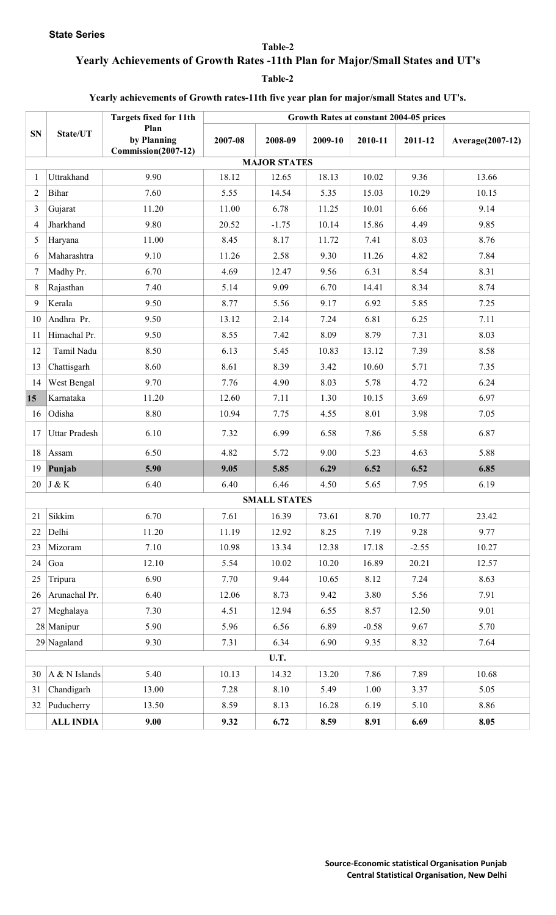**State Series** 

**Table-2**

# **Yearly Achievements of Growth Rates -11th Plan for Major/Small States and UT's**

**Table-2**

#### **Yearly achievements of Growth rates-11th five year plan for major/small States and UT's.**

|                |                  | <b>Targets fixed for 11th</b>              |         |                     |         |         | Growth Rates at constant 2004-05 prices |                  |
|----------------|------------------|--------------------------------------------|---------|---------------------|---------|---------|-----------------------------------------|------------------|
| ${\bf SN}$     | State/UT         | Plan<br>by Planning<br>Commission(2007-12) | 2007-08 | 2008-09             | 2009-10 | 2010-11 | 2011-12                                 | Average(2007-12) |
|                |                  |                                            |         | <b>MAJOR STATES</b> |         |         |                                         |                  |
| -1             | Uttrakhand       | 9.90                                       | 18.12   | 12.65               | 18.13   | 10.02   | 9.36                                    | 13.66            |
| $\overline{2}$ | Bihar            | 7.60                                       | 5.55    | 14.54               | 5.35    | 15.03   | 10.29                                   | 10.15            |
| 3              | Gujarat          | 11.20                                      | 11.00   | 6.78                | 11.25   | 10.01   | 6.66                                    | 9.14             |
| 4              | Jharkhand        | 9.80                                       | 20.52   | $-1.75$             | 10.14   | 15.86   | 4.49                                    | 9.85             |
| 5              | Haryana          | 11.00                                      | 8.45    | 8.17                | 11.72   | 7.41    | 8.03                                    | 8.76             |
| 6              | Maharashtra      | 9.10                                       | 11.26   | 2.58                | 9.30    | 11.26   | 4.82                                    | 7.84             |
| 7              | Madhy Pr.        | 6.70                                       | 4.69    | 12.47               | 9.56    | 6.31    | 8.54                                    | 8.31             |
| 8              | Rajasthan        | 7.40                                       | 5.14    | 9.09                | 6.70    | 14.41   | 8.34                                    | 8.74             |
| 9              | Kerala           | 9.50                                       | 8.77    | 5.56                | 9.17    | 6.92    | 5.85                                    | 7.25             |
| 10             | Andhra Pr.       | 9.50                                       | 13.12   | 2.14                | 7.24    | 6.81    | 6.25                                    | 7.11             |
| 11             | Himachal Pr.     | 9.50                                       | 8.55    | 7.42                | 8.09    | 8.79    | 7.31                                    | 8.03             |
| 12             | Tamil Nadu       | 8.50                                       | 6.13    | 5.45                | 10.83   | 13.12   | 7.39                                    | 8.58             |
| 13             | Chattisgarh      | 8.60                                       | 8.61    | 8.39                | 3.42    | 10.60   | 5.71                                    | 7.35             |
| 14             | West Bengal      | 9.70                                       | 7.76    | 4.90                | 8.03    | 5.78    | 4.72                                    | 6.24             |
| 15             | Karnataka        | 11.20                                      | 12.60   | 7.11                | 1.30    | 10.15   | 3.69                                    | 6.97             |
| 16             | Odisha           | 8.80                                       | 10.94   | 7.75                | 4.55    | 8.01    | 3.98                                    | 7.05             |
| 17             | Uttar Pradesh    | 6.10                                       | 7.32    | 6.99                | 6.58    | 7.86    | 5.58                                    | 6.87             |
| 18             | Assam            | 6.50                                       | 4.82    | 5.72                | 9.00    | 5.23    | 4.63                                    | 5.88             |
| 19             | Punjab           | 5.90                                       | 9.05    | 5.85                | 6.29    | 6.52    | 6.52                                    | 6.85             |
| 20             | J & K            | 6.40                                       | 6.40    | 6.46                | 4.50    | 5.65    | 7.95                                    | 6.19             |
|                |                  |                                            |         | <b>SMALL STATES</b> |         |         |                                         |                  |
| 21             | Sikkim           | 6.70                                       | 7.61    | 16.39               | 73.61   | 8.70    | 10.77                                   | 23.42            |
| 22             | Delhi            | 11.20                                      | 11.19   | 12.92               | 8.25    | 7.19    | 9.28                                    | 9.77             |
| 23             | Mizoram          | 7.10                                       | 10.98   | 13.34               | 12.38   | 17.18   | $-2.55$                                 | 10.27            |
| 24             | Goa              | 12.10                                      | 5.54    | 10.02               | 10.20   | 16.89   | 20.21                                   | 12.57            |
| 25             | Tripura          | 6.90                                       | 7.70    | 9.44                | 10.65   | 8.12    | 7.24                                    | 8.63             |
| 26             | Arunachal Pr.    | 6.40                                       | 12.06   | 8.73                | 9.42    | 3.80    | 5.56                                    | 7.91             |
| 27             | Meghalaya        | 7.30                                       | 4.51    | 12.94               | 6.55    | 8.57    | 12.50                                   | 9.01             |
|                | 28 Manipur       | 5.90                                       | 5.96    | 6.56                | 6.89    | $-0.58$ | 9.67                                    | 5.70             |
|                | $29$ Nagaland    | 9.30                                       | 7.31    | 6.34                | 6.90    | 9.35    | 8.32                                    | 7.64             |
|                |                  |                                            |         | U.T.                |         |         |                                         |                  |
| 30             | A & N Islands    | 5.40                                       | 10.13   | 14.32               | 13.20   | 7.86    | 7.89                                    | 10.68            |
| 31             | Chandigarh       | 13.00                                      | 7.28    | 8.10                | 5.49    | 1.00    | 3.37                                    | 5.05             |
| 32             | Puducherry       | 13.50                                      | 8.59    | 8.13                | 16.28   | 6.19    | 5.10                                    | 8.86             |
|                | <b>ALL INDIA</b> | 9.00                                       | 9.32    | 6.72                | 8.59    | 8.91    | 6.69                                    | 8.05             |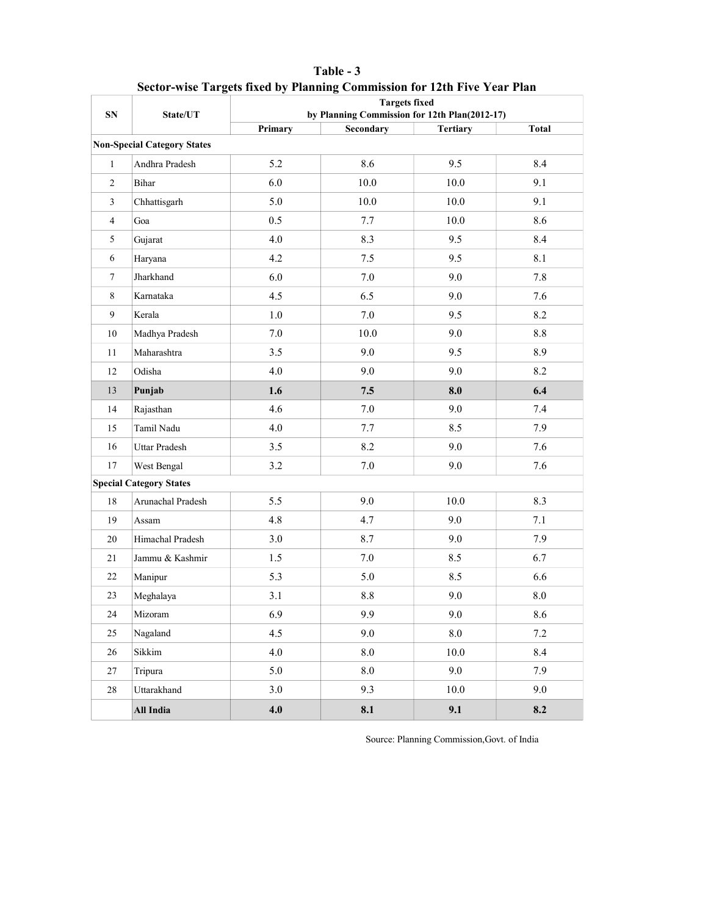| SN             | State/UT                           | <b>Targets fixed</b><br>by Planning Commission for 12th Plan(2012-17) |           |                 |              |  |  |  |
|----------------|------------------------------------|-----------------------------------------------------------------------|-----------|-----------------|--------------|--|--|--|
|                |                                    | Primary                                                               | Secondary | <b>Tertiary</b> | <b>Total</b> |  |  |  |
|                | <b>Non-Special Category States</b> |                                                                       |           |                 |              |  |  |  |
| $\mathbf{1}$   | Andhra Pradesh                     | 5.2                                                                   | 8.6       | 9.5             | 8.4          |  |  |  |
| $\overline{2}$ | <b>Bihar</b>                       | 6.0                                                                   | 10.0      | 10.0            | 9.1          |  |  |  |
| $\overline{3}$ | Chhattisgarh                       | 5.0                                                                   | 10.0      | 10.0            | 9.1          |  |  |  |
| $\overline{4}$ | Goa                                | 0.5                                                                   | 7.7       | 10.0            | 8.6          |  |  |  |
| 5              | Gujarat                            | 4.0                                                                   | 8.3       | 9.5             | 8.4          |  |  |  |
| 6              | Haryana                            | 4.2                                                                   | 7.5       | 9.5             | 8.1          |  |  |  |
| $\overline{7}$ | Jharkhand                          | 6.0                                                                   | 7.0       | 9.0             | 7.8          |  |  |  |
| 8              | Karnataka                          | 4.5                                                                   | 6.5       | 9.0             | 7.6          |  |  |  |
| 9              | Kerala                             | 1.0                                                                   | 7.0       | 9.5             | 8.2          |  |  |  |
| 10             | Madhya Pradesh                     | 7.0                                                                   | 10.0      | 9.0             | 8.8          |  |  |  |
| 11             | Maharashtra                        | 3.5                                                                   | 9.0       | 9.5             | 8.9          |  |  |  |
| 12             | Odisha                             | 4.0                                                                   | 9.0       | 9.0             | 8.2          |  |  |  |
| 13             | Punjab                             | 1.6                                                                   | 7.5       | 8.0             | 6.4          |  |  |  |
| 14             | Rajasthan                          | 4.6                                                                   | 7.0       | 9.0             | 7.4          |  |  |  |
| 15             | Tamil Nadu                         | 4.0                                                                   | 7.7       | 8.5             | 7.9          |  |  |  |
| 16             | Uttar Pradesh                      | 3.5                                                                   | 8.2       | 9.0             | 7.6          |  |  |  |
| 17             | West Bengal                        | 3.2                                                                   | 7.0       | 9.0             | 7.6          |  |  |  |
|                | <b>Special Category States</b>     |                                                                       |           |                 |              |  |  |  |
| 18             | Arunachal Pradesh                  | 5.5                                                                   | 9.0       | 10.0            | 8.3          |  |  |  |
| 19             | Assam                              | 4.8                                                                   | 4.7       | 9.0             | 7.1          |  |  |  |
| 20             | Himachal Pradesh                   | 3.0                                                                   | 8.7       | 9.0             | 7.9          |  |  |  |
| 21             | Jammu & Kashmir                    | 1.5                                                                   | 7.0       | 8.5             | 6.7          |  |  |  |
| 22             | Manipur                            | 5.3                                                                   | 5.0       | 8.5             | 6.6          |  |  |  |
| 23             | Meghalaya                          | 3.1                                                                   | 8.8       | 9.0             | 8.0          |  |  |  |
| $24\,$         | Mizoram                            | 6.9                                                                   | 9.9       | 9.0             | 8.6          |  |  |  |
| 25             | Nagaland                           | 4.5                                                                   | 9.0       | 8.0             | 7.2          |  |  |  |
| 26             | Sikkim                             | 4.0                                                                   | 8.0       | 10.0            | 8.4          |  |  |  |
| 27             | Tripura                            | 5.0                                                                   | $8.0\,$   | 9.0             | 7.9          |  |  |  |
| 28             | Uttarakhand                        | 3.0                                                                   | 9.3       | 10.0            | 9.0          |  |  |  |
|                | All India                          | 4.0                                                                   | 8.1       | 9.1             | 8.2          |  |  |  |

### **Table - 3 Sector-wise Targets fixed by Planning Commission for 12th Five Year Plan**

Source: Planning Commission,Govt. of India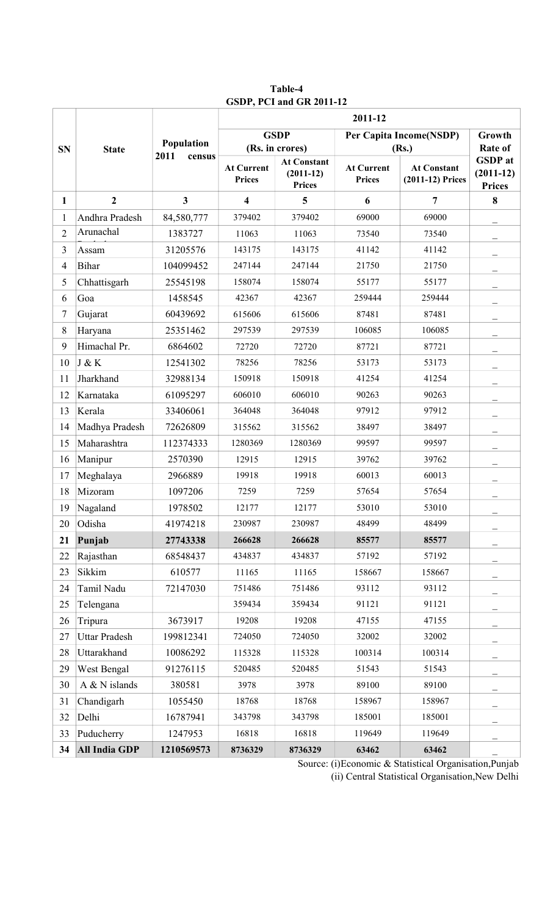|                |                      |                | 2011-12                            |                                                    |                                    |                                        |                                                |  |
|----------------|----------------------|----------------|------------------------------------|----------------------------------------------------|------------------------------------|----------------------------------------|------------------------------------------------|--|
| <b>SN</b>      | <b>State</b>         | Population     |                                    | <b>GSDP</b><br>(Rs. in crores)                     |                                    | Per Capita Income(NSDP)<br>(Rs.)       |                                                |  |
|                |                      | 2011<br>census | <b>At Current</b><br><b>Prices</b> | <b>At Constant</b><br>$(2011-12)$<br><b>Prices</b> | <b>At Current</b><br><b>Prices</b> | <b>At Constant</b><br>(2011-12) Prices | <b>GSDP</b> at<br>$(2011-12)$<br><b>Prices</b> |  |
| $\mathbf{1}$   | $\overline{2}$       | $\mathbf{3}$   | 4                                  | 5                                                  | 6                                  | $\overline{7}$                         | 8                                              |  |
| 1              | Andhra Pradesh       | 84,580,777     | 379402                             | 379402                                             | 69000                              | 69000                                  |                                                |  |
| $\overline{2}$ | Arunachal            | 1383727        | 11063                              | 11063                                              | 73540                              | 73540                                  |                                                |  |
| 3              | Assam                | 31205576       | 143175                             | 143175                                             | 41142                              | 41142                                  |                                                |  |
| $\overline{4}$ | Bihar                | 104099452      | 247144                             | 247144                                             | 21750                              | 21750                                  |                                                |  |
| 5              | Chhattisgarh         | 25545198       | 158074                             | 158074                                             | 55177                              | 55177                                  |                                                |  |
| 6              | Goa                  | 1458545        | 42367                              | 42367                                              | 259444                             | 259444                                 |                                                |  |
| 7              | Gujarat              | 60439692       | 615606                             | 615606                                             | 87481                              | 87481                                  |                                                |  |
| $\,$ 8 $\,$    | Haryana              | 25351462       | 297539                             | 297539                                             | 106085                             | 106085                                 |                                                |  |
| 9              | Himachal Pr.         | 6864602        | 72720                              | 72720                                              | 87721                              | 87721                                  |                                                |  |
| 10             | J & K                | 12541302       | 78256                              | 78256                                              | 53173                              | 53173                                  |                                                |  |
| 11             | Jharkhand            | 32988134       | 150918                             | 150918                                             | 41254                              | 41254                                  |                                                |  |
| 12             | Karnataka            | 61095297       | 606010                             | 606010                                             | 90263                              | 90263                                  |                                                |  |
| 13             | Kerala               | 33406061       | 364048                             | 364048                                             | 97912                              | 97912                                  |                                                |  |
| 14             | Madhya Pradesh       | 72626809       | 315562                             | 315562                                             | 38497                              | 38497                                  |                                                |  |
| 15             | Maharashtra          | 112374333      | 1280369                            | 1280369                                            | 99597                              | 99597                                  |                                                |  |
| 16             | Manipur              | 2570390        | 12915                              | 12915                                              | 39762                              | 39762                                  |                                                |  |
| 17             | Meghalaya            | 2966889        | 19918                              | 19918                                              | 60013                              | 60013                                  |                                                |  |
| 18             | Mizoram              | 1097206        | 7259                               | 7259                                               | 57654                              | 57654                                  |                                                |  |
| 19             | Nagaland             | 1978502        | 12177                              | 12177                                              | 53010                              | 53010                                  |                                                |  |
| 20             | Odisha               | 41974218       | 230987                             | 230987                                             | 48499                              | 48499                                  |                                                |  |
| 21             | Punjab               | 27743338       | 266628                             | 266628                                             | 85577                              | 85577                                  |                                                |  |
| 22             | Rajasthan            | 68548437       | 434837                             | 434837                                             | 57192                              | 57192                                  |                                                |  |
| 23             | Sikkim               | 610577         | 11165                              | 11165                                              | 158667                             | 158667                                 |                                                |  |
| 24             | Tamil Nadu           | 72147030       | 751486                             | 751486                                             | 93112                              | 93112                                  |                                                |  |
| 25             | Telengana            |                | 359434                             | 359434                                             | 91121                              | 91121                                  |                                                |  |
| 26             | Tripura              | 3673917        | 19208                              | 19208                                              | 47155                              | 47155                                  |                                                |  |
| 27             | <b>Uttar Pradesh</b> | 199812341      | 724050                             | 724050                                             | 32002                              | 32002                                  |                                                |  |
| 28             | Uttarakhand          | 10086292       | 115328                             | 115328                                             | 100314                             | 100314                                 |                                                |  |
| 29             | West Bengal          | 91276115       | 520485                             | 520485                                             | 51543                              | 51543                                  |                                                |  |
| 30             | $A & N$ islands      | 380581         | 3978                               | 3978                                               | 89100                              | 89100                                  |                                                |  |
| 31             | Chandigarh           | 1055450        | 18768                              | 18768                                              | 158967                             | 158967                                 |                                                |  |
| 32             | Delhi                | 16787941       | 343798                             | 343798                                             | 185001                             | 185001                                 |                                                |  |
| 33             | Puducherry           | 1247953        | 16818                              | 16818                                              | 119649                             | 119649                                 |                                                |  |
| 34             | <b>All India GDP</b> | 1210569573     | 8736329                            | 8736329                                            | 63462                              | 63462                                  |                                                |  |

**Table-4 GSDP, PCI and GR 2011-12**

Source: (i)Economic & Statistical Organisation,Punjab (ii) Central Statistical Organisation,New Delhi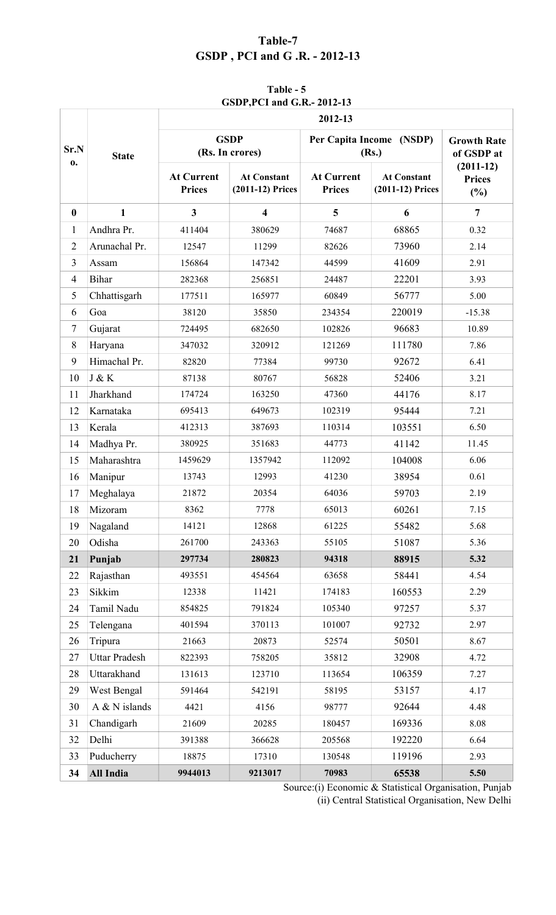# **Table-7 GSDP , PCI and G .R. - 2012-13**

# **Table - 5 GSDP,PCI and G.R.- 2012-13**

|                |                      | 2012-13                            |                                        |                                    |                                        |                                     |  |
|----------------|----------------------|------------------------------------|----------------------------------------|------------------------------------|----------------------------------------|-------------------------------------|--|
| Sr.N<br>0.     | <b>State</b>         |                                    | <b>GSDP</b><br>(Rs. In crores)         |                                    | Per Capita Income (NSDP)<br>(Rs.)      | <b>Growth Rate</b><br>of GSDP at    |  |
|                |                      | <b>At Current</b><br><b>Prices</b> | <b>At Constant</b><br>(2011-12) Prices | <b>At Current</b><br><b>Prices</b> | <b>At Constant</b><br>(2011-12) Prices | $(2011-12)$<br><b>Prices</b><br>(%) |  |
| $\bf{0}$       | $\mathbf{1}$         | 3                                  | $\overline{\mathbf{4}}$                | 5                                  | 6                                      | $\overline{7}$                      |  |
| $\mathbf{1}$   | Andhra Pr.           | 411404                             | 380629                                 | 74687                              | 68865                                  | 0.32                                |  |
| $\overline{2}$ | Arunachal Pr.        | 12547                              | 11299                                  | 82626                              | 73960                                  | 2.14                                |  |
| 3              | Assam                | 156864                             | 147342                                 | 44599                              | 41609                                  | 2.91                                |  |
| $\overline{4}$ | <b>Bihar</b>         | 282368                             | 256851                                 | 24487                              | 22201                                  | 3.93                                |  |
| 5              | Chhattisgarh         | 177511                             | 165977                                 | 60849                              | 56777                                  | 5.00                                |  |
| 6              | Goa                  | 38120                              | 35850                                  | 234354                             | 220019                                 | $-15.38$                            |  |
| 7              | Gujarat              | 724495                             | 682650                                 | 102826                             | 96683                                  | 10.89                               |  |
| 8              | Haryana              | 347032                             | 320912                                 | 121269                             | 111780                                 | 7.86                                |  |
| 9              | Himachal Pr.         | 82820                              | 77384                                  | 99730                              | 92672                                  | 6.41                                |  |
| 10             | J & K                | 87138                              | 80767                                  | 56828                              | 52406                                  | 3.21                                |  |
| 11             | Jharkhand            | 174724                             | 163250                                 | 47360                              | 44176                                  | 8.17                                |  |
| 12             | Karnataka            | 695413                             | 649673                                 | 102319                             | 95444                                  | 7.21                                |  |
| 13             | Kerala               | 412313                             | 387693                                 | 110314                             | 103551                                 | 6.50                                |  |
| 14             | Madhya Pr.           | 380925                             | 351683                                 | 44773                              | 41142                                  | 11.45                               |  |
| 15             | Maharashtra          | 1459629                            | 1357942                                | 112092                             | 104008                                 | 6.06                                |  |
| 16             | Manipur              | 13743                              | 12993                                  | 41230                              | 38954                                  | 0.61                                |  |
| 17             | Meghalaya            | 21872                              | 20354                                  | 64036                              | 59703                                  | 2.19                                |  |
| 18             | Mizoram              | 8362                               | 7778                                   | 65013                              | 60261                                  | 7.15                                |  |
| 19             | Nagaland             | 14121                              | 12868                                  | 61225                              | 55482                                  | 5.68                                |  |
| 20             | Odisha               | 261700                             | 243363                                 | 55105                              | 51087                                  | 5.36                                |  |
| 21             | Punjab               | 297734                             | 280823                                 | 94318                              | 88915                                  | 5.32                                |  |
| 22             | Rajasthan            | 493551                             | 454564                                 | 63658                              | 58441                                  | 4.54                                |  |
| 23             | Sikkim               | 12338                              | 11421                                  | 174183                             | 160553                                 | 2.29                                |  |
| 24             | Tamil Nadu           | 854825                             | 791824                                 | 105340                             | 97257                                  | 5.37                                |  |
| 25             | Telengana            | 401594                             | 370113                                 | 101007                             | 92732                                  | 2.97                                |  |
| 26             | Tripura              | 21663                              | 20873                                  | 52574                              | 50501                                  | 8.67                                |  |
| 27             | <b>Uttar Pradesh</b> | 822393                             | 758205                                 | 35812                              | 32908                                  | 4.72                                |  |
| 28             | Uttarakhand          | 131613                             | 123710                                 | 113654                             | 106359                                 | 7.27                                |  |
| 29             | West Bengal          | 591464                             | 542191                                 | 58195                              | 53157                                  | 4.17                                |  |
| 30             | A & N islands        | 4421                               | 4156                                   | 98777                              | 92644                                  | 4.48                                |  |
| 31             | Chandigarh           | 21609                              | 20285                                  | 180457                             | 169336                                 | 8.08                                |  |
| 32             | Delhi                | 391388                             | 366628                                 | 205568                             | 192220                                 | 6.64                                |  |
| 33             | Puducherry           | 18875                              | 17310                                  | 130548                             | 119196                                 | 2.93                                |  |
| 34             | All India            | 9944013                            | 9213017                                | 70983                              | 65538                                  | 5.50                                |  |

Source:(i) Economic & Statistical Organisation, Punjab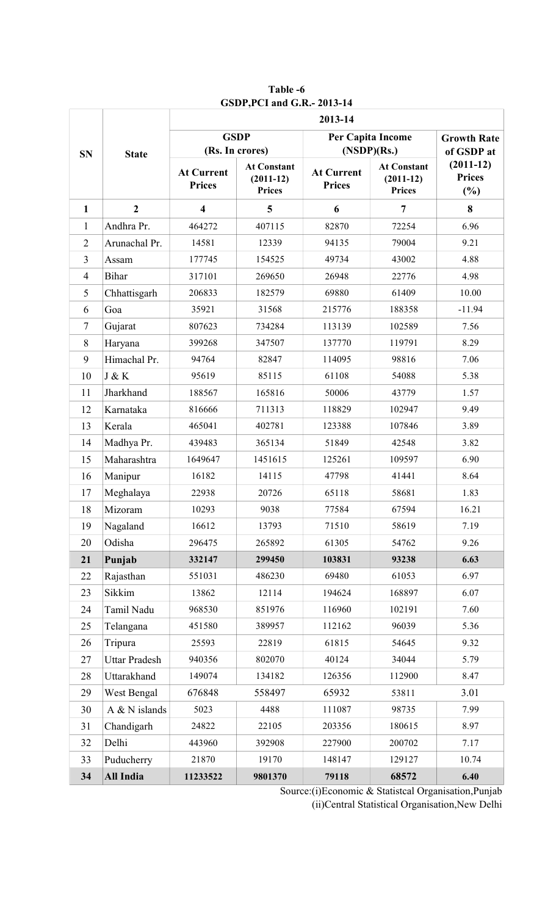|                |                      | 2013-14                            |                                                    |                                    |                                                    |                                        |  |
|----------------|----------------------|------------------------------------|----------------------------------------------------|------------------------------------|----------------------------------------------------|----------------------------------------|--|
| <b>SN</b>      | <b>State</b>         | <b>GSDP</b>                        | (Rs. In crores)                                    |                                    | Per Capita Income<br>(NSDP)(Rs.)                   |                                        |  |
|                |                      | <b>At Current</b><br><b>Prices</b> | <b>At Constant</b><br>$(2011-12)$<br><b>Prices</b> | <b>At Current</b><br><b>Prices</b> | <b>At Constant</b><br>$(2011-12)$<br><b>Prices</b> | $(2011-12)$<br><b>Prices</b><br>$(\%)$ |  |
| $\mathbf{1}$   | $\overline{2}$       | $\overline{\mathbf{4}}$            | 5                                                  | 6                                  | $\overline{7}$                                     | 8                                      |  |
| $\mathbf{1}$   | Andhra Pr.           | 464272                             | 407115                                             | 82870                              | 72254                                              | 6.96                                   |  |
| $\overline{2}$ | Arunachal Pr.        | 14581                              | 12339                                              | 94135                              | 79004                                              | 9.21                                   |  |
| 3              | Assam                | 177745                             | 154525                                             | 49734                              | 43002                                              | 4.88                                   |  |
| $\overline{4}$ | Bihar                | 317101                             | 269650                                             | 26948                              | 22776                                              | 4.98                                   |  |
| 5              | Chhattisgarh         | 206833                             | 182579                                             | 69880                              | 61409                                              | 10.00                                  |  |
| 6              | Goa                  | 35921                              | 31568                                              | 215776                             | 188358                                             | $-11.94$                               |  |
| 7              | Gujarat              | 807623                             | 734284                                             | 113139                             | 102589                                             | 7.56                                   |  |
| 8              | Haryana              | 399268                             | 347507                                             | 137770                             | 119791                                             | 8.29                                   |  |
| 9              | Himachal Pr.         | 94764                              | 82847                                              | 114095                             | 98816                                              | 7.06                                   |  |
| 10             | J & K                | 95619                              | 85115                                              | 61108                              | 54088                                              | 5.38                                   |  |
| 11             | Jharkhand            | 188567                             | 165816                                             | 50006                              | 43779                                              | 1.57                                   |  |
| 12             | Karnataka            | 816666                             | 711313                                             | 118829                             | 102947                                             | 9.49                                   |  |
| 13             | Kerala               | 465041                             | 402781                                             | 123388                             | 107846                                             | 3.89                                   |  |
| 14             | Madhya Pr.           | 439483                             | 365134                                             | 51849                              | 42548                                              | 3.82                                   |  |
| 15             | Maharashtra          | 1649647                            | 1451615                                            | 125261                             | 109597                                             | 6.90                                   |  |
| 16             | Manipur              | 16182                              | 14115                                              | 47798                              | 41441                                              | 8.64                                   |  |
| 17             | Meghalaya            | 22938                              | 20726                                              | 65118                              | 58681                                              | 1.83                                   |  |
| 18             | Mizoram              | 10293                              | 9038                                               | 77584                              | 67594                                              | 16.21                                  |  |
| 19             | Nagaland             | 16612                              | 13793                                              | 71510                              | 58619                                              | 7.19                                   |  |
| 20             | Odisha               | 296475                             | 265892                                             | 61305                              | 54762                                              | 9.26                                   |  |
| 21             | Punjab               | 332147                             | 299450                                             | 103831                             | 93238                                              | 6.63                                   |  |
| 22             | Rajasthan            | 551031                             | 486230                                             | 69480                              | 61053                                              | 6.97                                   |  |
| 23             | Sikkim               | 13862                              | 12114                                              | 194624                             | 168897                                             | 6.07                                   |  |
| 24             | Tamil Nadu           | 968530                             | 851976                                             | 116960                             | 102191                                             | 7.60                                   |  |
| 25             | Telangana            | 451580                             | 389957                                             | 112162                             | 96039                                              | 5.36                                   |  |
| 26             | Tripura              | 25593                              | 22819                                              | 61815                              | 54645                                              | 9.32                                   |  |
| 27             | <b>Uttar Pradesh</b> | 940356                             | 802070                                             | 40124                              | 34044                                              | 5.79                                   |  |
| 28             | Uttarakhand          | 149074                             | 134182                                             | 126356                             | 112900                                             | 8.47                                   |  |
| 29             | West Bengal          | 676848                             | 558497                                             | 65932                              | 53811                                              | 3.01                                   |  |
| 30             | A & N islands        | 5023                               | 4488                                               | 111087                             | 98735                                              | 7.99                                   |  |
| 31             | Chandigarh           | 24822                              | 22105                                              | 203356                             | 180615                                             | 8.97                                   |  |
| 32             | Delhi                | 443960                             | 392908                                             | 227900                             | 200702                                             | 7.17                                   |  |
| 33             | Puducherry           | 21870                              | 19170                                              | 148147                             | 129127                                             | 10.74                                  |  |
| 34             | <b>All India</b>     | 11233522                           | 9801370                                            | 79118                              | 68572                                              | 6.40                                   |  |

**Table -6 GSDP,PCI and G.R.- 2013-14**

Source:(i)Economic & Statistcal Organisation,Punjab (ii)Central Statistical Organisation,New Delhi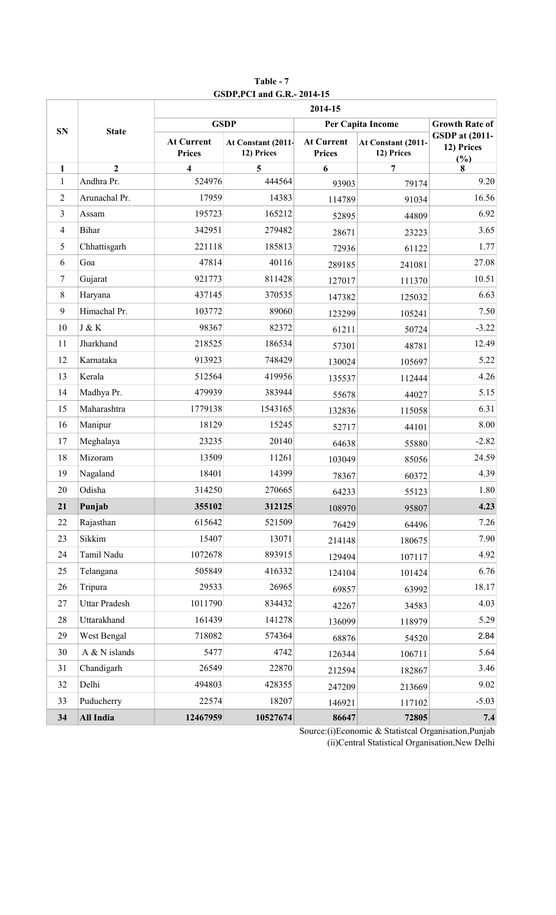|                |                      | 2014-15                            |                                  |                                    |                                  |                                            |  |  |
|----------------|----------------------|------------------------------------|----------------------------------|------------------------------------|----------------------------------|--------------------------------------------|--|--|
| <b>SN</b>      | <b>State</b>         |                                    | <b>GSDP</b>                      |                                    | Per Capita Income                |                                            |  |  |
|                |                      | <b>At Current</b><br><b>Prices</b> | At Constant (2011-<br>12) Prices | <b>At Current</b><br><b>Prices</b> | At Constant (2011-<br>12) Prices | <b>GSDP</b> at (2011-<br>12) Prices<br>(%) |  |  |
| $\mathbf{1}$   | $\overline{2}$       | $\overline{\mathbf{4}}$            | 5                                | 6                                  | 7                                | 8                                          |  |  |
| $\mathbf{1}$   | Andhra Pr.           | 524976                             | 444564                           | 93903                              | 79174                            | 9.20                                       |  |  |
| $\overline{2}$ | Arunachal Pr.        | 17959                              | 14383                            | 114789                             | 91034                            | 16.56                                      |  |  |
| $\mathfrak{Z}$ | Assam                | 195723                             | 165212                           | 52895                              | 44809                            | 6.92                                       |  |  |
| $\overline{4}$ | <b>Bihar</b>         | 342951                             | 279482                           | 28671                              | 23223                            | 3.65                                       |  |  |
| 5              | Chhattisgarh         | 221118                             | 185813                           | 72936                              | 61122                            | 1.77                                       |  |  |
| 6              | Goa                  | 47814                              | 40116                            | 289185                             | 241081                           | 27.08                                      |  |  |
| $\overline{7}$ | Gujarat              | 921773                             | 811428                           | 127017                             | 111370                           | 10.51                                      |  |  |
| $\,8\,$        | Haryana              | 437145                             | 370535                           | 147382                             | 125032                           | 6.63                                       |  |  |
| 9              | Himachal Pr.         | 103772                             | 89060                            | 123299                             | 105241                           | 7.50                                       |  |  |
| 10             | J & K                | 98367                              | 82372                            | 61211                              | 50724                            | $-3.22$                                    |  |  |
| 11             | Jharkhand            | 218525                             | 186534                           | 57301                              | 48781                            | 12.49                                      |  |  |
| 12             | Karnataka            | 913923                             | 748429                           | 130024                             | 105697                           | 5.22                                       |  |  |
| 13             | Kerala               | 512564                             | 419956                           | 135537                             | 112444                           | 4.26                                       |  |  |
| 14             | Madhya Pr.           | 479939                             | 383944                           | 55678                              | 44027                            | 5.15                                       |  |  |
| 15             | Maharashtra          | 1779138                            | 1543165                          | 132836                             | 115058                           | 6.31                                       |  |  |
| 16             | Manipur              | 18129                              | 15245                            | 52717                              | 44101                            | 8.00                                       |  |  |
| 17             | Meghalaya            | 23235                              | 20140                            | 64638                              | 55880                            | $-2.82$                                    |  |  |
| 18             | Mizoram              | 13509                              | 11261                            | 103049                             | 85056                            | 24.59                                      |  |  |
| 19             | Nagaland             | 18401                              | 14399                            | 78367                              | 60372                            | 4.39                                       |  |  |
| 20             | Odisha               | 314250                             | 270665                           | 64233                              | 55123                            | 1.80                                       |  |  |
| 21             | Punjab               | 355102                             | 312125                           | 108970                             | 95807                            | 4.23                                       |  |  |
| 22             | Rajasthan            | 615642                             | 521509                           | 76429                              | 64496                            | 7.26                                       |  |  |
| 23             | Sikkim               | 15407                              | 13071                            | 214148                             | 180675                           | 7.90                                       |  |  |
| 24             | Tamil Nadu           | 1072678                            | 893915                           | 129494                             | 107117                           | 4.92                                       |  |  |
| 25             | Telangana            | 505849                             | 416332                           | 124104                             | 101424                           | 6.76                                       |  |  |
| 26             | Tripura              | 29533                              | 26965                            | 69857                              | 63992                            | 18.17                                      |  |  |
| 27             | <b>Uttar Pradesh</b> | 1011790                            | 834432                           | 42267                              | 34583                            | 4.03                                       |  |  |
| 28             | Uttarakhand          | 161439                             | 141278                           | 136099                             | 118979                           | 5.29                                       |  |  |
| 29             | West Bengal          | 718082                             | 574364                           | 68876                              | 54520                            | 2.84                                       |  |  |
| 30             | A & N islands        | 5477                               | 4742                             | 126344                             | 106711                           | 5.64                                       |  |  |
| 31             | Chandigarh           | 26549                              | 22870                            | 212594                             | 182867                           | 3.46                                       |  |  |
| 32             | Delhi                | 494803                             | 428355                           | 247209                             | 213669                           | 9.02                                       |  |  |
| 33             | Puducherry           | 22574                              | 18207                            | 146921                             | 117102                           | $-5.03$                                    |  |  |
| 34             | <b>All India</b>     | 12467959                           | 10527674                         | 86647                              | 72805                            | 7.4                                        |  |  |

**Table - 7 GSDP,PCI and G.R.- 2014-15**

Source:(i)Economic & Statistcal Organisation,Punjab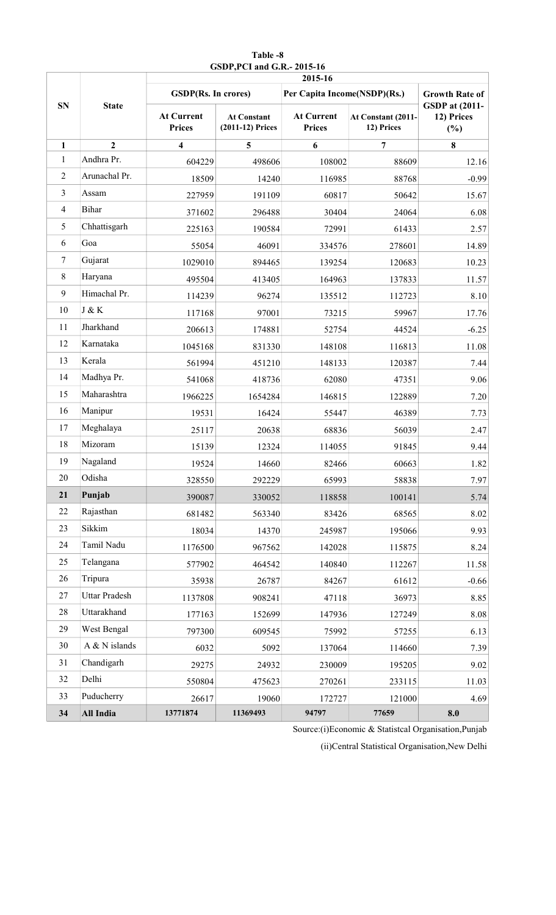|                |                      | 2015-16                            |                                        |                                    |                                  |                                            |  |
|----------------|----------------------|------------------------------------|----------------------------------------|------------------------------------|----------------------------------|--------------------------------------------|--|
| <b>SN</b>      | <b>State</b>         | <b>GSDP(Rs. In crores)</b>         |                                        |                                    | Per Capita Income(NSDP)(Rs.)     |                                            |  |
|                |                      | <b>At Current</b><br><b>Prices</b> | <b>At Constant</b><br>(2011-12) Prices | <b>At Current</b><br><b>Prices</b> | At Constant (2011-<br>12) Prices | <b>GSDP</b> at (2011-<br>12) Prices<br>(%) |  |
| $\mathbf{1}$   | $\overline{2}$       | $\overline{\mathbf{4}}$            | 5                                      | 6                                  | 7                                | 8                                          |  |
| $\mathbf{1}$   | Andhra Pr.           | 604229                             | 498606                                 | 108002                             | 88609                            | 12.16                                      |  |
| $\overline{2}$ | Arunachal Pr.        | 18509                              | 14240                                  | 116985                             | 88768                            | $-0.99$                                    |  |
| $\overline{3}$ | Assam                | 227959                             | 191109                                 | 60817                              | 50642                            | 15.67                                      |  |
| $\overline{4}$ | <b>Bihar</b>         | 371602                             | 296488                                 | 30404                              | 24064                            | 6.08                                       |  |
| 5              | Chhattisgarh         | 225163                             | 190584                                 | 72991                              | 61433                            | 2.57                                       |  |
| 6              | Goa                  | 55054                              | 46091                                  | 334576                             | 278601                           | 14.89                                      |  |
| 7              | Gujarat              | 1029010                            | 894465                                 | 139254                             | 120683                           | 10.23                                      |  |
| 8              | Haryana              | 495504                             | 413405                                 | 164963                             | 137833                           | 11.57                                      |  |
| 9              | Himachal Pr.         | 114239                             | 96274                                  | 135512                             | 112723                           | 8.10                                       |  |
| 10             | J & K                | 117168                             | 97001                                  | 73215                              | 59967                            | 17.76                                      |  |
| 11             | Jharkhand            | 206613                             | 174881                                 | 52754                              | 44524                            | $-6.25$                                    |  |
| 12             | Karnataka            | 1045168                            | 831330                                 | 148108                             | 116813                           | 11.08                                      |  |
| 13             | Kerala               | 561994                             | 451210                                 | 148133                             | 120387                           | 7.44                                       |  |
| 14             | Madhya Pr.           | 541068                             | 418736                                 | 62080                              | 47351                            | 9.06                                       |  |
| 15             | Maharashtra          | 1966225                            | 1654284                                | 146815                             | 122889                           | 7.20                                       |  |
| 16             | Manipur              | 19531                              | 16424                                  | 55447                              | 46389                            | 7.73                                       |  |
| 17             | Meghalaya            | 25117                              | 20638                                  | 68836                              | 56039                            | 2.47                                       |  |
| 18             | Mizoram              | 15139                              | 12324                                  | 114055                             | 91845                            | 9.44                                       |  |
| 19             | Nagaland             | 19524                              | 14660                                  | 82466                              | 60663                            | 1.82                                       |  |
| 20             | Odisha               | 328550                             | 292229                                 | 65993                              | 58838                            | 7.97                                       |  |
| 21             | Punjab               | 390087                             | 330052                                 | 118858                             | 100141                           | 5.74                                       |  |
| 22             | Rajasthan            | 681482                             | 563340                                 | 83426                              | 68565                            | 8.02                                       |  |
| 23             | Sikkim               | 18034                              | 14370                                  | 245987                             | 195066                           | 9.93                                       |  |
| 24             | Tamil Nadu           | 1176500                            | 967562                                 | 142028                             | 115875                           | 8.24                                       |  |
| 25             | Telangana            | 577902                             | 464542                                 | 140840                             | 112267                           | 11.58                                      |  |
| 26             | Tripura              | 35938                              | 26787                                  | 84267                              | 61612                            | $-0.66$                                    |  |
| 27             | <b>Uttar Pradesh</b> | 1137808                            | 908241                                 | 47118                              | 36973                            | 8.85                                       |  |
| 28             | Uttarakhand          | 177163                             | 152699                                 | 147936                             | 127249                           | 8.08                                       |  |
| 29             | West Bengal          | 797300                             | 609545                                 | 75992                              | 57255                            | 6.13                                       |  |
| 30             | A & N islands        | 6032                               | 5092                                   | 137064                             | 114660                           | 7.39                                       |  |
| 31             | Chandigarh           | 29275                              | 24932                                  | 230009                             | 195205                           | 9.02                                       |  |
| 32             | Delhi                | 550804                             | 475623                                 | 270261                             | 233115                           | 11.03                                      |  |
| 33             | Puducherry           | 26617                              | 19060                                  | 172727                             | 121000                           | 4.69                                       |  |
| 34             | All India            | 13771874                           | 11369493                               | 94797                              | 77659                            | 8.0                                        |  |

**GSDP,PCI and G.R.- 2015-16 Table -8**

Source:(i)Economic & Statistcal Organisation,Punjab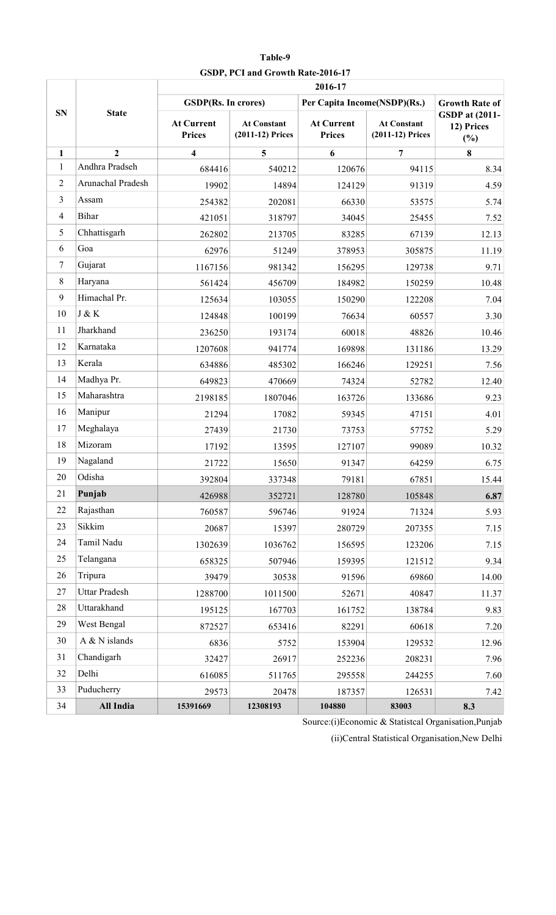|                |                      | 2016-17                            |                                        |                                    |                                        |                                               |  |  |
|----------------|----------------------|------------------------------------|----------------------------------------|------------------------------------|----------------------------------------|-----------------------------------------------|--|--|
|                |                      | <b>GSDP(Rs. In crores)</b>         |                                        | Per Capita Income(NSDP)(Rs.)       |                                        | <b>Growth Rate of</b>                         |  |  |
| <b>SN</b>      | <b>State</b>         | <b>At Current</b><br><b>Prices</b> | <b>At Constant</b><br>(2011-12) Prices | <b>At Current</b><br><b>Prices</b> | <b>At Constant</b><br>(2011-12) Prices | <b>GSDP</b> at (2011-<br>12) Prices<br>$(\%)$ |  |  |
| 1              | $\overline{2}$       | $\overline{\mathbf{4}}$            | 5                                      | 6                                  | $\overline{7}$                         | 8                                             |  |  |
| $\mathbf{1}$   | Andhra Pradseh       | 684416                             | 540212                                 | 120676                             | 94115                                  | 8.34                                          |  |  |
| $\sqrt{2}$     | Arunachal Pradesh    | 19902                              | 14894                                  | 124129                             | 91319                                  | 4.59                                          |  |  |
| 3              | Assam                | 254382                             | 202081                                 | 66330                              | 53575                                  | 5.74                                          |  |  |
| $\overline{4}$ | <b>Bihar</b>         | 421051                             | 318797                                 | 34045                              | 25455                                  | 7.52                                          |  |  |
| 5              | Chhattisgarh         | 262802                             | 213705                                 | 83285                              | 67139                                  | 12.13                                         |  |  |
| 6              | Goa                  | 62976                              | 51249                                  | 378953                             | 305875                                 | 11.19                                         |  |  |
| $\tau$         | Gujarat              | 1167156                            | 981342                                 | 156295                             | 129738                                 | 9.71                                          |  |  |
| $8\,$          | Haryana              | 561424                             | 456709                                 | 184982                             | 150259                                 | 10.48                                         |  |  |
| 9              | Himachal Pr.         | 125634                             | 103055                                 | 150290                             | 122208                                 | 7.04                                          |  |  |
| 10             | $J \& K$             | 124848                             | 100199                                 | 76634                              | 60557                                  | 3.30                                          |  |  |
| 11             | Jharkhand            | 236250                             | 193174                                 | 60018                              | 48826                                  | 10.46                                         |  |  |
| 12             | Karnataka            | 1207608                            | 941774                                 | 169898                             | 131186                                 | 13.29                                         |  |  |
| 13             | Kerala               | 634886                             | 485302                                 | 166246                             | 129251                                 | 7.56                                          |  |  |
| 14             | Madhya Pr.           | 649823                             | 470669                                 | 74324                              | 52782                                  | 12.40                                         |  |  |
| 15             | Maharashtra          | 2198185                            | 1807046                                | 163726                             | 133686                                 | 9.23                                          |  |  |
| 16             | Manipur              | 21294                              | 17082                                  | 59345                              | 47151                                  | 4.01                                          |  |  |
| 17             | Meghalaya            | 27439                              | 21730                                  | 73753                              | 57752                                  | 5.29                                          |  |  |
| 18             | Mizoram              | 17192                              | 13595                                  | 127107                             | 99089                                  | 10.32                                         |  |  |
| 19             | Nagaland             | 21722                              | 15650                                  | 91347                              | 64259                                  | 6.75                                          |  |  |
| 20             | Odisha               | 392804                             | 337348                                 | 79181                              | 67851                                  | 15.44                                         |  |  |
| 21             | Punjab               | 426988                             | 352721                                 | 128780                             | 105848                                 | 6.87                                          |  |  |
| 22             | Rajasthan            | 760587                             | 596746                                 | 91924                              | 71324                                  | 5.93                                          |  |  |
| 23             | Sikkim               | 20687                              | 15397                                  | 280729                             | 207355                                 | 7.15                                          |  |  |
| 24             | Tamil Nadu           | 1302639                            | 1036762                                | 156595                             | 123206                                 | 7.15                                          |  |  |
| 25             | Telangana            | 658325                             | 507946                                 | 159395                             | 121512                                 | 9.34                                          |  |  |
| 26             | Tripura              | 39479                              | 30538                                  | 91596                              | 69860                                  | 14.00                                         |  |  |
| 27             | <b>Uttar Pradesh</b> | 1288700                            | 1011500                                | 52671                              | 40847                                  | 11.37                                         |  |  |
| 28             | Uttarakhand          | 195125                             | 167703                                 | 161752                             | 138784                                 | 9.83                                          |  |  |
| 29             | West Bengal          | 872527                             | 653416                                 | 82291                              | 60618                                  | 7.20                                          |  |  |
| 30             | A & N islands        | 6836                               | 5752                                   | 153904                             | 129532                                 | 12.96                                         |  |  |
| 31             | Chandigarh           | 32427                              | 26917                                  | 252236                             | 208231                                 | 7.96                                          |  |  |
| 32             | Delhi                | 616085                             | 511765                                 | 295558                             | 244255                                 | 7.60                                          |  |  |
| 33             | Puducherry           | 29573                              | 20478                                  | 187357                             | 126531                                 | 7.42                                          |  |  |
| 34             | All India            | 15391669                           | 12308193                               | 104880                             | 83003                                  | 8.3                                           |  |  |

**Table-9 GSDP, PCI and Growth Rate-2016-17**

Source:(i)Economic & Statistcal Organisation,Punjab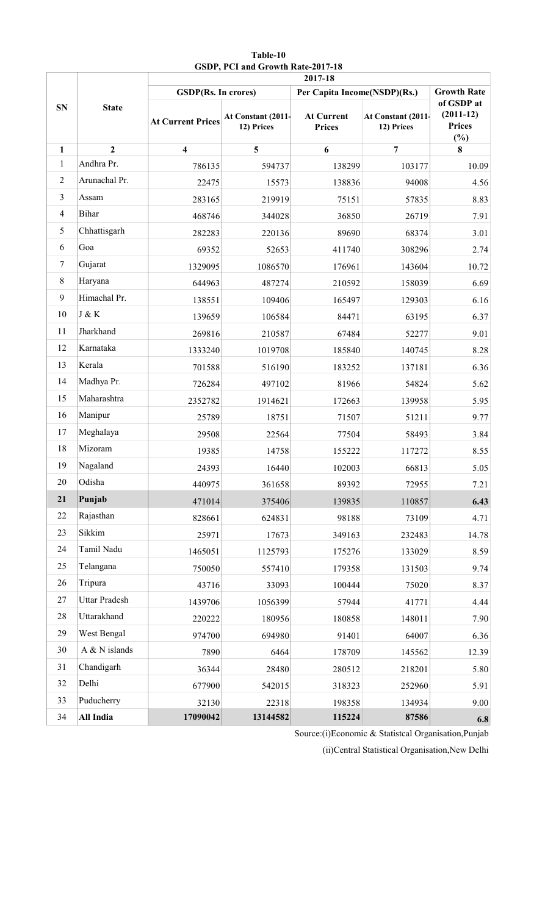|                | <b>State</b>         | 2017-18                    |                                  |                                    |                                  |                                                   |  |  |
|----------------|----------------------|----------------------------|----------------------------------|------------------------------------|----------------------------------|---------------------------------------------------|--|--|
|                |                      | <b>GSDP(Rs. In crores)</b> |                                  | Per Capita Income(NSDP)(Rs.)       | <b>Growth Rate</b>               |                                                   |  |  |
| <b>SN</b>      |                      | <b>At Current Prices</b>   | At Constant (2011-<br>12) Prices | <b>At Current</b><br><b>Prices</b> | At Constant (2011-<br>12) Prices | of GSDP at<br>$(2011-12)$<br><b>Prices</b><br>(%) |  |  |
| $\mathbf{1}$   | $\overline{2}$       | $\overline{\mathbf{4}}$    | 5                                | 6                                  | $\overline{7}$                   | 8                                                 |  |  |
| $\mathbf{1}$   | Andhra Pr.           | 786135                     | 594737                           | 138299                             | 103177                           | 10.09                                             |  |  |
| $\overline{2}$ | Arunachal Pr.        | 22475                      | 15573                            | 138836                             | 94008                            | 4.56                                              |  |  |
| $\overline{3}$ | Assam                | 283165                     | 219919                           | 75151                              | 57835                            | 8.83                                              |  |  |
| $\overline{4}$ | Bihar                | 468746                     | 344028                           | 36850                              | 26719                            | 7.91                                              |  |  |
| 5              | Chhattisgarh         | 282283                     | 220136                           | 89690                              | 68374                            | 3.01                                              |  |  |
| 6              | Goa                  | 69352                      | 52653                            | 411740                             | 308296                           | 2.74                                              |  |  |
| 7              | Gujarat              | 1329095                    | 1086570                          | 176961                             | 143604                           | 10.72                                             |  |  |
| $\,8\,$        | Haryana              | 644963                     | 487274                           | 210592                             | 158039                           | 6.69                                              |  |  |
| 9              | Himachal Pr.         | 138551                     | 109406                           | 165497                             | 129303                           | 6.16                                              |  |  |
| 10             | J & K                | 139659                     | 106584                           | 84471                              | 63195                            | 6.37                                              |  |  |
| 11             | Jharkhand            | 269816                     | 210587                           | 67484                              | 52277                            | 9.01                                              |  |  |
| 12             | Karnataka            | 1333240                    | 1019708                          | 185840                             | 140745                           | 8.28                                              |  |  |
| 13             | Kerala               | 701588                     | 516190                           | 183252                             | 137181                           | 6.36                                              |  |  |
| 14             | Madhya Pr.           | 726284                     | 497102                           | 81966                              | 54824                            | 5.62                                              |  |  |
| 15             | Maharashtra          | 2352782                    | 1914621                          | 172663                             | 139958                           | 5.95                                              |  |  |
| 16             | Manipur              | 25789                      | 18751                            | 71507                              | 51211                            | 9.77                                              |  |  |
| 17             | Meghalaya            | 29508                      | 22564                            | 77504                              | 58493                            | 3.84                                              |  |  |
| 18             | Mizoram              | 19385                      | 14758                            | 155222                             | 117272                           | 8.55                                              |  |  |
| 19             | Nagaland             | 24393                      | 16440                            | 102003                             | 66813                            | 5.05                                              |  |  |
| $20\,$         | Odisha               | 440975                     | 361658                           | 89392                              | 72955                            | 7.21                                              |  |  |
| 21             | Punjab               | 471014                     | 375406                           | 139835                             | 110857                           | 6.43                                              |  |  |
| 22             | Rajasthan            | 828661                     | 624831                           | 98188                              | 73109                            | 4.71                                              |  |  |
| 23             | Sikkim               | 25971                      | 17673                            | 349163                             | 232483                           | 14.78                                             |  |  |
| 24             | Tamil Nadu           | 1465051                    | 1125793                          | 175276                             | 133029                           | 8.59                                              |  |  |
| 25             | Telangana            | 750050                     | 557410                           | 179358                             | 131503                           | 9.74                                              |  |  |
| 26             | Tripura              | 43716                      | 33093                            | 100444                             | 75020                            | 8.37                                              |  |  |
| 27             | <b>Uttar Pradesh</b> | 1439706                    | 1056399                          | 57944                              | 41771                            | 4.44                                              |  |  |
| 28             | Uttarakhand          | 220222                     | 180956                           | 180858                             | 148011                           | 7.90                                              |  |  |
| 29             | West Bengal          | 974700                     | 694980                           | 91401                              | 64007                            | 6.36                                              |  |  |
| 30             | A & N islands        | 7890                       | 6464                             | 178709                             | 145562                           | 12.39                                             |  |  |
| 31             | Chandigarh           | 36344                      | 28480                            | 280512                             | 218201                           | 5.80                                              |  |  |
| 32             | Delhi                | 677900                     | 542015                           | 318323                             | 252960                           | 5.91                                              |  |  |
| 33             | Puducherry           | 32130                      | 22318                            | 198358                             | 134934                           | 9.00                                              |  |  |
| 34             | All India            | 17090042                   | 13144582                         | 115224                             | 87586                            | 6.8                                               |  |  |

## **Table-10 GSDP, PCI and Growth Rate-2017-18**

Source:(i)Economic & Statistcal Organisation,Punjab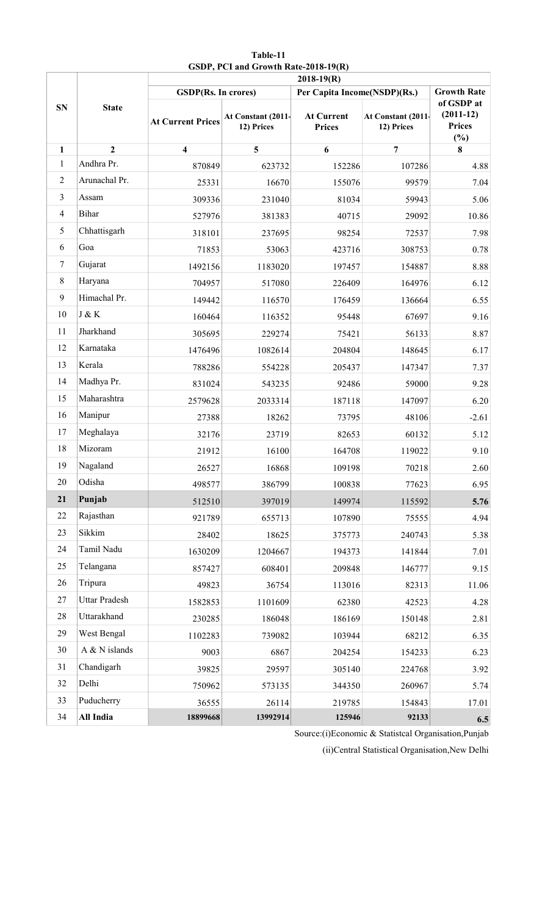|                |                      | $2018-19(R)$               |                                  |                                    |                                  |                                                      |  |  |
|----------------|----------------------|----------------------------|----------------------------------|------------------------------------|----------------------------------|------------------------------------------------------|--|--|
|                |                      | <b>GSDP(Rs. In crores)</b> |                                  | Per Capita Income(NSDP)(Rs.)       |                                  | <b>Growth Rate</b>                                   |  |  |
| <b>SN</b>      | <b>State</b>         | <b>At Current Prices</b>   | At Constant (2011-<br>12) Prices | <b>At Current</b><br><b>Prices</b> | At Constant (2011-<br>12) Prices | of GSDP at<br>$(2011-12)$<br><b>Prices</b><br>$(\%)$ |  |  |
| 1              | $\overline{2}$       | $\overline{\mathbf{4}}$    | 5                                | 6                                  | $\overline{7}$                   | 8                                                    |  |  |
| 1              | Andhra Pr.           | 870849                     | 623732                           | 152286                             | 107286                           | 4.88                                                 |  |  |
| $\sqrt{2}$     | Arunachal Pr.        | 25331                      | 16670                            | 155076                             | 99579                            | 7.04                                                 |  |  |
| $\mathfrak{Z}$ | Assam                | 309336                     | 231040                           | 81034                              | 59943                            | 5.06                                                 |  |  |
| $\overline{4}$ | <b>Bihar</b>         | 527976                     | 381383                           | 40715                              | 29092                            | 10.86                                                |  |  |
| 5              | Chhattisgarh         | 318101                     | 237695                           | 98254                              | 72537                            | 7.98                                                 |  |  |
| 6              | Goa                  | 71853                      | 53063                            | 423716                             | 308753                           | 0.78                                                 |  |  |
| $\tau$         | Gujarat              | 1492156                    | 1183020                          | 197457                             | 154887                           | 8.88                                                 |  |  |
| $8\,$          | Haryana              | 704957                     | 517080                           | 226409                             | 164976                           | 6.12                                                 |  |  |
| 9              | Himachal Pr.         | 149442                     | 116570                           | 176459                             | 136664                           | 6.55                                                 |  |  |
| 10             | J & K                | 160464                     | 116352                           | 95448                              | 67697                            | 9.16                                                 |  |  |
| 11             | Jharkhand            | 305695                     | 229274                           | 75421                              | 56133                            | 8.87                                                 |  |  |
| 12             | Karnataka            | 1476496                    | 1082614                          | 204804                             | 148645                           | 6.17                                                 |  |  |
| 13             | Kerala               | 788286                     | 554228                           | 205437                             | 147347                           | 7.37                                                 |  |  |
| 14             | Madhya Pr.           | 831024                     | 543235                           | 92486                              | 59000                            | 9.28                                                 |  |  |
| 15             | Maharashtra          | 2579628                    | 2033314                          | 187118                             | 147097                           | 6.20                                                 |  |  |
| 16             | Manipur              | 27388                      | 18262                            | 73795                              | 48106                            | $-2.61$                                              |  |  |
| 17             | Meghalaya            | 32176                      | 23719                            | 82653                              | 60132                            | 5.12                                                 |  |  |
| 18             | Mizoram              | 21912                      | 16100                            | 164708                             | 119022                           | 9.10                                                 |  |  |
| 19             | Nagaland             | 26527                      | 16868                            | 109198                             | 70218                            | 2.60                                                 |  |  |
| 20             | Odisha               | 498577                     | 386799                           | 100838                             | 77623                            | 6.95                                                 |  |  |
| 21             | Punjab               | 512510                     | 397019                           | 149974                             | 115592                           | 5.76                                                 |  |  |
| 22             | Rajasthan            | 921789                     | 655713                           | 107890                             | 75555                            | 4.94                                                 |  |  |
| 23             | Sikkim               | 28402                      | 18625                            | 375773                             | 240743                           | 5.38                                                 |  |  |
| 24             | Tamil Nadu           | 1630209                    | 1204667                          | 194373                             | 141844                           | 7.01                                                 |  |  |
| 25             | Telangana            | 857427                     | 608401                           | 209848                             | 146777                           | 9.15                                                 |  |  |
| 26             | Tripura              | 49823                      | 36754                            | 113016                             | 82313                            | 11.06                                                |  |  |
| 27             | <b>Uttar Pradesh</b> | 1582853                    | 1101609                          | 62380                              | 42523                            | 4.28                                                 |  |  |
| 28             | Uttarakhand          | 230285                     | 186048                           | 186169                             | 150148                           | 2.81                                                 |  |  |
| 29             | West Bengal          | 1102283                    | 739082                           | 103944                             | 68212                            | 6.35                                                 |  |  |
| 30             | A $&$ N islands      | 9003                       | 6867                             | 204254                             | 154233                           | 6.23                                                 |  |  |
| 31             | Chandigarh           | 39825                      | 29597                            | 305140                             | 224768                           | 3.92                                                 |  |  |
| 32             | Delhi                | 750962                     | 573135                           | 344350                             | 260967                           | 5.74                                                 |  |  |
| 33             | Puducherry           | 36555                      | 26114                            | 219785                             | 154843                           | 17.01                                                |  |  |
| 34             | All India            | 18899668                   | 13992914                         | 125946                             | 92133                            | 6.5                                                  |  |  |

**Table-11 GSDP, PCI and Growth Rate-2018-19(R)**

Source:(i)Economic & Statistcal Organisation,Punjab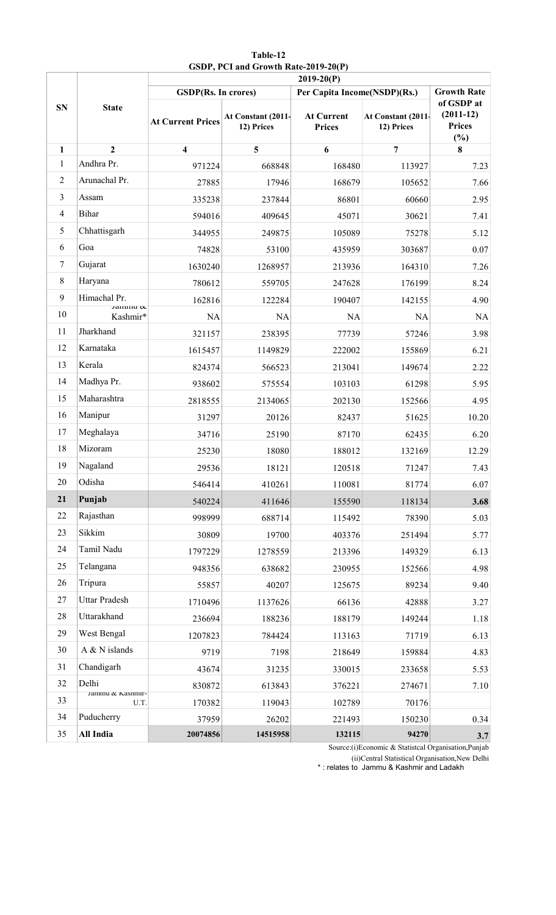|                |                                                           |                            |                                  | $2019-20(P)$                       |                                  |                                                      |
|----------------|-----------------------------------------------------------|----------------------------|----------------------------------|------------------------------------|----------------------------------|------------------------------------------------------|
|                |                                                           | <b>GSDP(Rs. In crores)</b> | Per Capita Income(NSDP)(Rs.)     | <b>Growth Rate</b>                 |                                  |                                                      |
| <b>SN</b>      | <b>State</b>                                              | <b>At Current Prices</b>   | At Constant (2011-<br>12) Prices | <b>At Current</b><br><b>Prices</b> | At Constant (2011-<br>12) Prices | of GSDP at<br>$(2011-12)$<br><b>Prices</b><br>$(\%)$ |
| 1              | $\overline{2}$                                            | $\overline{\mathbf{4}}$    | 5                                | 6                                  | $\overline{7}$                   | 8                                                    |
| 1              | Andhra Pr.                                                | 971224                     | 668848                           | 168480                             | 113927                           | 7.23                                                 |
| $\overline{2}$ | Arunachal Pr.                                             | 27885                      | 17946                            | 168679                             | 105652                           | 7.66                                                 |
| $\mathfrak{Z}$ | Assam                                                     | 335238                     | 237844                           | 86801                              | 60660                            | 2.95                                                 |
| $\overline{4}$ | <b>Bihar</b>                                              | 594016                     | 409645                           | 45071                              | 30621                            | 7.41                                                 |
| 5              | Chhattisgarh                                              | 344955                     | 249875                           | 105089                             | 75278                            | 5.12                                                 |
| 6              | Goa                                                       | 74828                      | 53100                            | 435959                             | 303687                           | 0.07                                                 |
| $\tau$         | Gujarat                                                   | 1630240                    | 1268957                          | 213936                             | 164310                           | 7.26                                                 |
| $8\,$          | Haryana                                                   | 780612                     | 559705                           | 247628                             | 176199                           | 8.24                                                 |
| 9              | Himachal Pr.<br>$\frac{1}{2}$ annnu $\boldsymbol{\alpha}$ | 162816                     | 122284                           | 190407                             | 142155                           | 4.90                                                 |
| 10             | Kashmir*                                                  | NA                         | <b>NA</b>                        | <b>NA</b>                          | <b>NA</b>                        | NA                                                   |
| 11             | Jharkhand                                                 | 321157                     | 238395                           | 77739                              | 57246                            | 3.98                                                 |
| 12             | Karnataka                                                 | 1615457                    | 1149829                          | 222002                             | 155869                           | 6.21                                                 |
| 13             | Kerala                                                    | 824374                     | 566523                           | 213041                             | 149674                           | 2.22                                                 |
| 14             | Madhya Pr.                                                | 938602                     | 575554                           | 103103                             | 61298                            | 5.95                                                 |
| 15             | Maharashtra                                               | 2818555                    | 2134065                          | 202130                             | 152566                           | 4.95                                                 |
| 16             | Manipur                                                   | 31297                      | 20126                            | 82437                              | 51625                            | 10.20                                                |
| 17             | Meghalaya                                                 | 34716                      | 25190                            | 87170                              | 62435                            | 6.20                                                 |
| 18             | Mizoram                                                   | 25230                      | 18080                            | 188012                             | 132169                           | 12.29                                                |
| 19             | Nagaland                                                  | 29536                      | 18121                            | 120518                             | 71247                            | 7.43                                                 |
| 20             | Odisha                                                    | 546414                     | 410261                           | 110081                             | 81774                            | 6.07                                                 |
| 21             | Punjab                                                    | 540224                     | 411646                           | 155590                             | 118134                           | 3.68                                                 |
| 22             | Rajasthan                                                 | 998999                     | 688714                           | 115492                             | 78390                            | 5.03                                                 |
| 23             | Sikkim                                                    | 30809                      | 19700                            | 403376                             | 251494                           | 5.77                                                 |
| 24             | Tamil Nadu                                                | 1797229                    | 1278559                          | 213396                             | 149329                           | 6.13                                                 |
| 25             | Telangana                                                 | 948356                     | 638682                           | 230955                             | 152566                           | 4.98                                                 |
| 26             | Tripura                                                   | 55857                      | 40207                            | 125675                             | 89234                            | 9.40                                                 |
| 27             | <b>Uttar Pradesh</b>                                      | 1710496                    | 1137626                          | 66136                              | 42888                            | 3.27                                                 |
| 28             | Uttarakhand                                               | 236694                     | 188236                           | 188179                             | 149244                           | 1.18                                                 |
| 29             | West Bengal                                               | 1207823                    | 784424                           | 113163                             | 71719                            | 6.13                                                 |
| 30             | A $&N$ islands                                            | 9719                       | 7198                             | 218649                             | 159884                           | 4.83                                                 |
| 31             | Chandigarh                                                | 43674                      | 31235                            | 330015                             | 233658                           | 5.53                                                 |
| 32             | Delhi                                                     | 830872                     | 613843                           | 376221                             | 274671                           | 7.10                                                 |
| 33             | Jammu & Kasnmır-<br>U.T.                                  | 170382                     | 119043                           | 102789                             | 70176                            |                                                      |
| 34             | Puducherry                                                | 37959                      | 26202                            | 221493                             | 150230                           | 0.34                                                 |
| 35             | All India                                                 | 20074856                   | 14515958                         | 132115                             | 94270                            | 3.7                                                  |

# **Table-12 GSDP, PCI and Growth Rate-2019-20(P)**

Source:(i)Economic & Statistcal Organisation,Punjab

(ii)Central Statistical Organisation,New Delhi

\* : relates to Jammu & Kashmir and Ladakh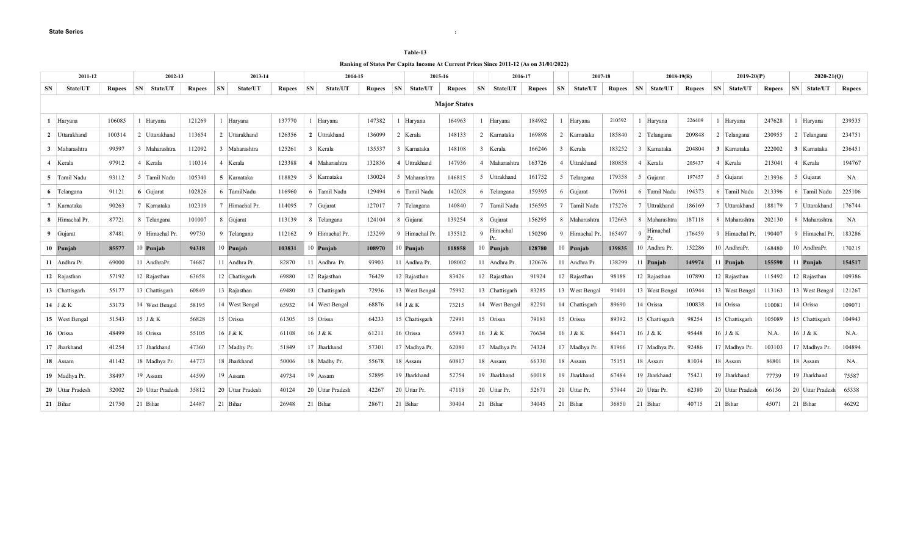#### **Table-13**

**Ranking of States Per Capita Income At Current Prices Since 2011-12 (As on 31/01/2022)**

|                | 2011-12<br>2012-13 |               |    |                  |               | 2013-14   |                  |               |           | 2014-15          |               |    | 2015-16        |                     |                | 2016-17         |               | 2017-18        |                 |               |   | $2018 - 19(R)$     |               | $2019-20(P)$          |               | $2020 - 21(0)$ |                  |               |
|----------------|--------------------|---------------|----|------------------|---------------|-----------|------------------|---------------|-----------|------------------|---------------|----|----------------|---------------------|----------------|-----------------|---------------|----------------|-----------------|---------------|---|--------------------|---------------|-----------------------|---------------|----------------|------------------|---------------|
| <b>SN</b>      | State/UT           | <b>Rupees</b> | SN | <b>State/UT</b>  | <b>Rupees</b> | <b>SN</b> | State/UT         | <b>Rupees</b> | <b>SN</b> | State/UT         | <b>Rupees</b> | SN | State/UT       | <b>Rupees</b>       | <b>SN</b>      | <b>State/UT</b> | <b>Rupees</b> | SN             | <b>State/UT</b> | <b>Rupees</b> |   | <b>SN</b> State/UT | <b>Rupees</b> | SN<br><b>State/UT</b> | <b>Rupees</b> | <b>SN</b>      | <b>State/UT</b>  | <b>Rupees</b> |
|                |                    |               |    |                  |               |           |                  |               |           |                  |               |    |                | <b>Major States</b> |                |                 |               |                |                 |               |   |                    |               |                       |               |                |                  |               |
|                | Haryana            | 106085        |    | 1 Harvana        | 121269        |           | Harvana          | 137770        |           | Harvana          | 147382        |    | Harvana        | 164963              |                | Harvana         | 184982        |                | Harvana         | 210592        |   | 1 Harvana          | 226409        | Haryana               | 247628        |                | Haryana          | 239535        |
|                | 2 Uttarakhand      | 100314        |    | 2 Uttarakhand    | 113654        |           | 2 Uttarakhand    | 126356        |           | 2 Uttrakhand     | 136099        |    | 2 Kerala       | 148133              |                | 2 Karnataka     | 169898        |                | 2 Karnataka     | 185840        |   | 2 Telangana        | 209848        | 2 Telangana           | 230955        |                | 2 Telangana      | 234751        |
|                | 3 Maharashtra      | 99597         |    | 3 Maharashtra    | 112092        |           | 3 Maharashtra    | 125261        |           | 3 Kerala         | 135537        |    | Karnataka      | 148108              |                | 3 Kerala        | 166246        | $\overline{3}$ | Kerala          | 183252        | 3 | Karnataka          | 204804        | 3 Karnataka           | 222002        |                | 3 Karnataka      | 236451        |
| $\overline{4}$ | Kerala             | 97912         |    | 4 Kerala         | 110314        |           | Kerala           | 123388        |           | 4 Maharashtra    | 132836        |    | 4 Uttrakhand   | 147936              | $\overline{4}$ | Maharashtra     | 163726        | 4              | Uttrakhand      | 180858        |   | Kerala             | 205437        | Kerala<br>4           | 213041        |                | 4 Kerala         | 194767        |
|                | 5 Tamil Nadu       | 93112         |    | 5 Tamil Nadu     | 105340        |           | 5 Karnataka      | 118829        |           | Karnataka        | 130024        |    | 5 Maharashtra  | 146815              |                | 5 Uttrakhand    | 161752        | 5              | Telangana       | 179358        |   | 5 Gujarat          | 197457        | 5 Gujarat             | 213936        |                | 5 Gujarat        | NA            |
|                | 6 Telangana        | 91121         |    | 6 Gujarat        | 102826        |           | 6 TamilNadu      | 116960        | 6         | Tamil Nadu       | 129494        |    | 6 Tamil Nadu   | 142028              |                | 6 Telangana     | 159395        |                | 6 Gujarat       | 176961        |   | 6 Tamil Nadu       | 194373        | 6 Tamil Nadu          | 213396        |                | 6 Tamil Nadu     | 225106        |
| $\overline{7}$ | Karnataka          | 90263         |    | 7 Karnataka      | 102319        |           | Himachal Pr.     | 114095        |           | 7 Gujarat        | 127017        |    | 7 Telangana    | 140840              | $\tau$         | Tamil Nadu      | 156595        | $\overline{7}$ | Tamil Nadu      | 175276        |   | Uttrakhand         | 186169        | Uttarakhand           | 188179        |                | 7 Uttarakhand    | 176744        |
|                | 8 Himachal Pr.     | 87721         |    | 8 Telangana      | 101007        |           | 8 Gujarat        | 113139        | -8        | Telangana        | 124104        |    | 8 Gujarat      | 139254              | 8              | Gujarat         | 156295        | 8              | Maharashtra     | 172663        | 8 | Maharashtra        | 187118        | 8 Maharashtra         | 202130        |                | 8 Maharashtra    | NA            |
|                | 9 Gujarat          | 87481         |    | 9 Himachal Pr.   | 99730         |           | 9 Telangana      | 112162        |           | Himachal Pr      | 123299        |    | 9 Himachal Pr. | 135512              | $\Omega$       | Himachal<br>Pr. | 150290        | 9              | Himachal Pr.    | 165497        |   | Himachal           | 176459        | 9 Himachal Pr.        | 190407        |                | 9 Himachal Pr    | 183286        |
|                | 10 Punjab          | 85577         |    | 10 Punjab        | 94318         |           | 10 Punjab        | 103831        |           | 10 Punjab        | 108970        |    | 10 Punjab      | 118858              |                | 10 Punjab       | 128780        | 10             | Punjab          | 139835        |   | 10 Andhra Pr.      | 152286        | 10 AndhraPr           | 168480        |                | 10 AndhraPr.     | 170215        |
|                | 11   Andhra Pr.    | 69000         |    | 11 AndhraPr.     | 74687         |           | 11 Andhra Pr.    | 82870         |           | Andhra Pr.       | 93903         |    | 11 Andhra Pr.  | 108002              |                | 11 Andhra Pr.   | 120676        | 11             | Andhra Pr.      | 138299        |   | Punjab             | 149974        | 11 Punjab             | 155590        |                | 11 Punjab        | 154517        |
|                | 12 Rajasthan       | 57192         |    | 12 Rajasthan     | 63658         |           | 12 Chattisgarh   | 69880         |           | 12 Rajasthan     | 76429         |    | 12 Rajasthan   | 83426               |                | 12 Rajasthan    | 91924         |                | 12 Rajasthan    | 98188         |   | 12 Rajasthan       | 107890        | 12 Rajasthan          | 115492        |                | 12 Rajasthan     | 109386        |
|                | 13 Chattisgarh     | 55177         |    | 13 Chattisgarh   | 60849         |           | 13 Rajasthan     | 69480         |           | 13 Chattisgarh   | 72936         |    | 13 West Bengal | 75992               |                | 13 Chattisgarh  | 83285         |                | 13 West Bengal  | 91401         |   | 13 West Bengal     | 103944        | 13 West Bengal        | 113163        |                | 13 West Bengal   | 121267        |
|                | 14 J & K           | 53173         |    | 14 West Bengal   | 58195         |           | 14 West Bengal   | 65932         |           | 14 West Bengal   | 68876         |    | 14 J & K       | 73215               |                | 14 West Bengal  | 82291         |                | 14 Chattisgarh  | 89690         |   | 14 Orissa          | 100838        | 14 Orissa             | 110081        |                | 14 Orissa        | 109071        |
|                | 15 West Bengal     | 51543         |    | 15 J & K         | 56828         |           | 15 Orissa        | 61305         |           | 15 Orissa        | 64233         |    | 15 Chattisgarh | 72991               |                | 15 Orissa       | 79181         |                | 15 Orissa       | 89392         |   | 15 Chattisgarh     | 98254         | 15 Chattisgarh        | 105089        |                | 15 Chattisgarh   | 104943        |
|                | 16 Orissa          | 48499         |    | 16 Orissa        | 55105         |           | 16 J & K         | 61108         |           | 16 J & K         | 61211         |    | 16 Orissa      | 65993               |                | $16$ J & K      | 76634         |                | $16$ J & K      | 84471         |   | 16 J & K           | 95448         | $16$ J & K            | N.A           |                | 16 J & K         | N.A.          |
|                | 17 Jharkhand       | 41254         |    | 17 Jharkhand     | 47360         |           | 17 Madhy Pr.     | 51849         |           | 17 Jharkhand     | 57301         |    | 17 Madhya Pr.  | 62080               |                | 17 Madhya Pr.   | 74324         |                | 17 Madhya Pr.   | 81966         |   | 17 Madhya Pr.      | 92486         | 17 Madhya Pr.         | 103103        |                | 17 Madhya Pr.    | 104894        |
|                | 18 Assam           | 41142         |    | 18 Madhya Pr.    | 44773         |           | 18 Jharkhand     | 50006         |           | 18 Madhy Pr.     | 55678         |    | 18 Assam       | 60817               |                | 18 Assam        | 66330         |                | 18 Assam        | 75151         |   | 18 Assam           | 81034         | 18 Assam              | 86801         |                | 18 Assam         | NA.           |
|                | 19 Madhya Pr.      | 38497         |    | 19 Assam         | 44599         |           | $19$ Assam       | 49734         |           | 19 Assam         | 52895         |    | 19 Jharkhand   | 52754               |                | 19 Jharkhand    | 60018         |                | 19 Jharkhand    | 67484         |   | 19 Jharkhand       | 75421         | 19 Jharkhand          | 77739         |                | 19 Jharkhand     | 75587         |
|                | 20 Uttar Pradesh   | 32002         |    | 20 Uttar Pradesh | 35812         |           | 20 Uttar Pradesh | 40124         |           | 20 Uttar Pradesh | 42267         |    | 20 Uttar Pr.   | 47118               |                | 20 Uttar Pr.    | 52671         |                | 20 Uttar Pr.    | 57944         |   | 20 Uttar Pr.       | 62380         | 20 Uttar Pradesh      | 66136         |                | 20 Uttar Pradesh | 65338         |
|                | $21$ Bihar         | 21750         |    | 21 Bihar         | 24487         |           | $21$ Bihar       | 26948         |           | 21 Bihar         | 28671         |    | $21$ Bihar     | 30404               |                | 21 Bihar        | 34045         |                | 21 Bihar        | 36850         |   | 21 Bihar           | 40715         | 21 Bihar              | 45071         |                | 21 Bihar         | 46292         |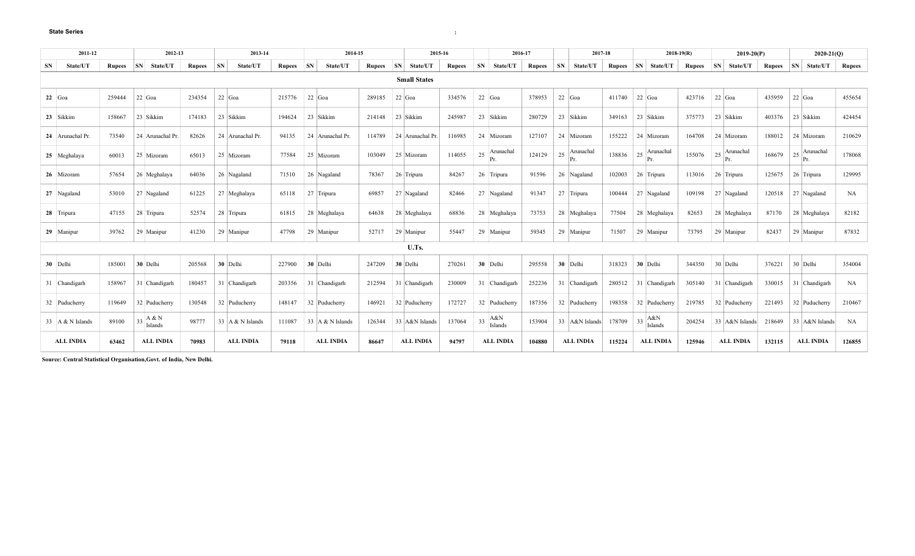| 2011-12<br>2012-13 |                    |               |    |                                   | 2013-14       |           |                  | 2014-15       | 2015-16   |                  |               | 2016-17 |                     | 2017-18       |           |                  | $2018-19(R)$  |                       |               | $2019-20(P)$  | $2020-21(Q)$     |               |           |                  |               |           |                            |               |
|--------------------|--------------------|---------------|----|-----------------------------------|---------------|-----------|------------------|---------------|-----------|------------------|---------------|---------|---------------------|---------------|-----------|------------------|---------------|-----------------------|---------------|---------------|------------------|---------------|-----------|------------------|---------------|-----------|----------------------------|---------------|
| <b>SN</b>          | State/UT           | <b>Rupees</b> | SN | State/UT                          | <b>Rupees</b> | <b>SN</b> | <b>State/UT</b>  | <b>Rupees</b> | <b>SN</b> | State/UT         | <b>Rupees</b> | SN      | <b>State/UT</b>     | <b>Rupees</b> | <b>SN</b> | <b>State/UT</b>  | <b>Rupees</b> | <b>SN</b><br>State/UT | <b>Rupees</b> | $\mathbf{SN}$ | <b>State/UT</b>  | <b>Rupees</b> | <b>SN</b> | State/UT         | <b>Rupees</b> | <b>SN</b> | State/UT                   | <b>Rupees</b> |
|                    |                    |               |    |                                   |               |           |                  |               |           |                  |               |         | <b>Small States</b> |               |           |                  |               |                       |               |               |                  |               |           |                  |               |           |                            |               |
|                    | $22 \vert$ Goa     | 259444        |    | $22$ Goa                          | 234354        |           | $22$ Goa         | 215776        |           | $22$ Goa         | 289185        |         | $22$ Goa            | 334576        |           | 22 Goa           | 378953        | $22$ Goa              | 411740        |               | 22 Goa           | 423716        |           | $22$ Goa         | 435959        | $22$ Goa  |                            | 455654        |
|                    | 23 Sikkim          | 158667        |    | 23 Sikkim                         | 174183        |           | 23 Sikkim        | 194624        |           | 23 Sikkim        | 214148        |         | 23 Sikkim           | 245987        |           | 23 Sikkim        | 280729        | 23 Sikkim             | 349163        |               | 23 Sikkim        | 375773        |           | 23 Sikkim        | 403376        |           | 23 Sikkim                  | 424454        |
|                    | 24 Arunachal Pr.   | 73540         |    | 24 Arunachal Pr.                  | 82626         |           | 24 Arunachal Pr. | 94135         |           | 24 Arunachal Pr. | 114789        |         | 24 Arunachal Pr.    | 116985        |           | 24 Mizoram       | 127107        | 24 Mizoram            | 155222        |               | 24 Mizoram       | 164708        |           | 24 Mizoram       | 188012        |           | 24 Mizoram                 | 210629        |
|                    | 25 Meghalaya       | 60013         |    | 25 Mizoram                        | 65013         |           | 25 Mizoram       | 77584         |           | 25 Mizoram       | 103049        |         | 25 Mizoram          | 114055        | 25        | Arunachal<br>Pr. | 124129        | Arunachal<br>25<br>Pr | 138836        | 25            | Arunachal<br>Pr. | 155076        | 25        | Arunachal<br>Pr. | 168679        |           | $\mid$ 25 Arunachal<br>Pr. | 178068        |
|                    | 26 Mizoram         | 57654         |    | 26 Meghalaya                      | 64036         |           | 26 Nagaland      | 71510         |           | 26 Nagaland      | 78367         |         | 26 Tripura          | 84267         |           | 26 Tripura       | 91596         | 26 Nagaland           | 102003        |               | 26 Tripura       | 113016        |           | 26 Tripura       | 125675        |           | 26 Tripura                 | 129995        |
|                    | 27 Nagaland        | 53010         |    | 27 Nagaland                       | 61225         |           | 27 Meghalaya     | 65118         |           | 27 Tripura       | 69857         |         | 27 Nagaland         | 82466         |           | 27 Nagaland      | 91347         | 27 Tripura            | 100444        |               | 27 Nagaland      | 109198        |           | 27 Nagaland      | 120518        |           | 27 Nagaland                | NA            |
|                    | 28 Tripura         | 47155         |    | 28 Tripura                        | 52574         |           | 28 Tripura       | 61815         |           | 28 Meghalaya     | 64638         |         | 28 Meghalaya        | 68836         |           | 28 Meghalaya     | 73753         | 28 Meghalaya          | 77504         |               | 28 Meghalaya     | 82653         |           | 28 Meghalaya     | 87170         |           | 28 Meghalaya               | 82182         |
|                    | 29 Manipur         | 39762         |    | 29 Manipur                        | 41230         |           | 29 Manipur       | 47798         |           | 29 Manipur       | 52717         |         | 29 Manipur          | 55447         |           | 29 Manipur       | 59345         | 29 Manipur            | 71507         |               | 29 Manipur       | 73795         |           | 29 Manipur       | 82437         |           | 29 Manipur                 | 87832         |
|                    |                    |               |    |                                   |               |           |                  |               |           |                  |               |         | U.Ts.               |               |           |                  |               |                       |               |               |                  |               |           |                  |               |           |                            |               |
|                    | 30 Delhi           | 185001        |    | 30 Delhi                          | 205568        |           | 30 Delhi         | 227900        |           | 30 Delhi         | 247209        |         | 30 Delhi            | 270261        |           | 30 Delhi         | 295558        | 30 Delhi              | 318323        |               | 30 Delhi         | 344350        |           | 30 Delhi         | 376221        |           | 30 Delhi                   | 354004        |
|                    | 31 Chandigarh      | 158967        |    | 31 Chandigarh                     | 180457        |           | 31 Chandigarh    | 203356        |           | 31 Chandigarh    | 212594        |         | 31 Chandigarh       | 230009        |           | 31 Chandigarh    | 252236        | 31 Chandigarh         | 280512        |               | 31 Chandigarh    | 305140        |           | 31 Chandigarh    | 330015        |           | 31 Chandigarh              | NA            |
|                    | 32 Puducherry      | 119649        |    | 32 Puducherry                     | 130548        |           | 32 Puducherry    | 148147        |           | 32 Puducherry    | 146921        |         | 32 Puducherry       | 172727        |           | 32 Puducherry    | 187356        | 32 Puducherry         | 198358        |               | 32 Puducherry    | 219785        |           | 32 Puducherry    | 221493        |           | 32 Puducherry              | 210467        |
|                    | 33   A & N Islands | 89100         |    | $\mid$ 33 $\mid$ A & N<br>Islands | 98777         |           | 33 A & N Islands | 111087        |           | 33 A & N Islands | 126344        |         | 33 A&N Islands      | 137064        | 33        | A&N<br>Islands   | 153904        | 33 A&N Islands        | 178709        | 33            | A&N<br>Islands   | 204254        |           | 33 A&N Islands   | 218649        |           | 33 A&N Islands             | NA            |
|                    | <b>ALL INDIA</b>   | 63462         |    | <b>ALL INDIA</b>                  | 70983         |           | <b>ALL INDIA</b> | 79118         |           | <b>ALL INDIA</b> | 86647         |         | <b>ALL INDIA</b>    | 94797         |           | <b>ALL INDIA</b> | 104880        | <b>ALL INDIA</b>      | 115224        |               | <b>ALL INDIA</b> | 125946        |           | <b>ALL INDIA</b> | 132115        |           | <b>ALL INDIA</b>           | 126855        |

**Source: Central Statistical Organisation,Govt. of India, New Delhi.**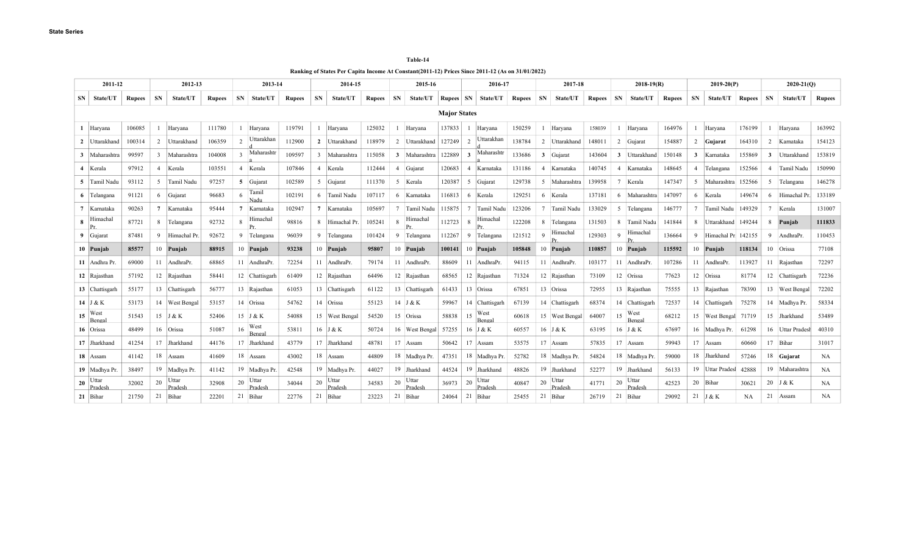| <b>Table-14</b> |
|-----------------|
|-----------------|

**Ranking of States Per Capita Income At Constant(2011-12) Prices Since 2011-12 (As on 31/01/2022)**

| 2011-12                  |               |    | 2012-13<br>2013-14 |               |               | 2014-15               |               |                | 2015-16                  | 2016-17       |                |                  |                       |                     | 2017-18             |               | $2018 - 19(R)$ |                  |           |                | $2019 - 20(P)$           |               |             | $2020 - 21(0)$       |               |        |                  |               |
|--------------------------|---------------|----|--------------------|---------------|---------------|-----------------------|---------------|----------------|--------------------------|---------------|----------------|------------------|-----------------------|---------------------|---------------------|---------------|----------------|------------------|-----------|----------------|--------------------------|---------------|-------------|----------------------|---------------|--------|------------------|---------------|
| State/UT<br>SN.          | <b>Rupees</b> | SN | State/UT           | <b>Rupees</b> | SN            | <b>State/UT</b>       | <b>Rupees</b> | SN             | State/UT                 | <b>Rupees</b> | <b>SN</b>      | State/UT         | Rupees SN             |                     | <b>State/UT</b>     | <b>Rupees</b> | SN             | State/UT         | Rupees SN |                | State/UT                 | <b>Rupees</b> | SN.         | State/UT             | <b>Rupees</b> | SN     | State/UT         | <b>Rupees</b> |
|                          |               |    |                    |               |               |                       |               |                |                          |               |                |                  |                       | <b>Major States</b> |                     |               |                |                  |           |                |                          |               |             |                      |               |        |                  |               |
| 1 Haryana                | 106085        |    | Haryana            | 111780        |               | Haryana               | 119791        |                | Haryana                  | 125032        |                | Haryana          | 137833                |                     | Haryana             | 150259        |                | Haryana          | 158039    |                | Haryana                  | 164976        |             | Haryana              | 176199        |        | Haryana          | 163992        |
| 2 Uttarakhand            | 100314        | 2  | Uttarakhand        | 106359        | $\mathcal{L}$ | Uttarakhan            | 112900        | $\overline{2}$ | Uttarakhand              | 118979        | $\overline{2}$ | Uttarakhand      | 127249                | 2                   | Uttarakhan          | 138784        |                | 2 Uttarakhand    | 148011    | 2              | Gujarat                  | 154887        | 2           | Gujarat              | 164310        | 2      | Karnataka        | 154123        |
| 3 Maharashtra            | 99597         | 3  | Maharashtra        | 104008        |               | Maharashtr            | 109597        | 3              | Maharashtra              | 115058        |                | 3 Maharashtra    | 122889                | $\overline{3}$      | Maharashtr          | 133686        |                | 3 Gujarat        | 143604    | $\mathbf{3}$   | Uttarakhand              | 150148        | 3           | Karnataka            | 155869        | 3      | Uttarakhand      | 153819        |
| 4 Kerala                 | 97912         |    | Kerala             | 103551        |               | Kerala                | 107846        |                | Kerala                   | 112444        | $\overline{4}$ | Gujarat          | 120683                | $\overline{4}$      | Karnataka           | 131186        | $\overline{4}$ | Karnataka        | 140745    | $\overline{4}$ | Karnataka                | 148645        | 4           | Telangana            | 152566        |        | Tamil Nadu       | 150990        |
| 5 Tamil Nadu             | 93112         | 5  | Tamil Nadu         | 97257         |               | 5 Gujarat             | 102589        | 5              | Gujarat                  | 111370        | -5             | Kerala           | 120387                |                     | 5 Gujarat           | 129738        | 5              | Maharashtra      | 139958    | -7             | Kerala                   | 147347        | .5          | Maharashtra          | 152566        | $\sim$ | Telangana        | 146278        |
| 6 Telangana              | 91121         | 6  | Gujarat            | 96683         | 6             | Tamil<br>Nadu         | 102191        |                | 6 Tamil Nadu             | 107117        |                | 6 Karnataka      | 116813 6 Kerala       |                     |                     | 129251        |                | 6 Kerala         | 137181    |                | 6 Maharashtra            | 147097        |             | 6 Kerala             | 149674        | -6     | Himachal Pr.     | 133189        |
| 7 Karnataka              | 90263         | 7  | Karnataka          | 95444         | 7             | Karnataka             | 102947        | 7              | Karnataka                | 105697        |                | Tamil Nadu       | 115875                | $7\phantom{.0}$     | Tamil Nadu          | 123206        |                | Tamil Nadu       | 133029    |                | 5 Telangana              | 146777        |             | Tamil Nadu   149329  |               |        | Kerala           | 131007        |
| $\bf{8}$  Himachal<br>Pr | 87721         | 8  | Telangana          | 92732         | $\mathbf{R}$  | Himachal<br>Pr        | 98816         | 8              | Himachal Pr.             | 105241        | $\mathbf{8}$   | Himachal<br>Pr   | 112723                | $\mathbf{R}$        | Himachal<br>Pr      | 122208        | 8              | Telangana        | 131503    |                | 8 Tamil Nadu             | 141844        |             | 8 Uttarakhand 149244 |               | -8     | Puniab           | 111833        |
| 9 Gujarat                | 87481         | -9 | Himachal Pr        | 92672         | 9             | Telangana             | 96039         | 9              | Telangana                | 101424        | 9              | Telangana        | 112267                | 9                   | Telangana           | 121512        | $\Omega$       | Himachal         | 129303    | $\mathbf{Q}$   | Himachal                 | 136664        | $\mathbf Q$ | Himachal Pr 142155   |               | -9     | AndhraPr         | 110453        |
| 10 Punjab                | 85577         | 10 | Punjab             | 88915         | 10            | Punjab                | 93238         |                | 10 Punjab                | 95807         | 10             | Puniab           | 100141                |                     | 10 Punjab           | 105848        |                | 10 Punjab        | 110857    |                | 10 Punjab                | 115592        |             | 10 Puniab            | 118134        |        | 10 Orissa        | 77108         |
| 11 Andhra Pr.            | 69000         | 11 | AndhraPr.          | 68865         |               | 11 AndhraPr.          | 72254         |                | 11 AndhraPr.             | 79174         |                | 11 AndhraPr.     | 88609                 |                     | 11 AndhraPr.        | 94115         |                | 11 AndhraPr.     | 103177    |                | 11 AndhraPr              | 107286        |             | 11 AndhraPr.         | 113927        |        | 11 Rajasthan     | 72297         |
| 12 Rajasthan             | 57192         | 12 | Rajasthan          | 58441         |               | 12 Chattisgarh        | 61409         |                | 12 Rajasthan             | 64496         |                | 12 Rajasthan     | 68565                 |                     | 12 Rajasthan        | 71324         |                | 12 Rajasthan     | 73109     |                | 12 Orissa                | 77623         |             | 12 Orissa            | 81774         |        | 12 Chattisgarh   | 72236         |
| 13 Chattisgarh           | 55177         |    | 13 Chattisgarh     | 56777         |               | 13 Rajasthan          | 61053         |                | 13 Chattisgarh           | 61122         |                | 13 Chattisgarh   | $61433$   13   Orissa |                     |                     | 67851         |                | 13 Orissa        | 72955     |                | 13 Rajasthan             | 75555         |             | 13 Rajasthan         | 78390         |        | 13 West Bengal   | 72202         |
| 14 J & K                 | 53173         |    | 14 West Bengal     | 53157         |               | 14 Orissa             | 54762         |                | 14 Orissa                | 55123         |                | 14 J & K         | 59967                 |                     | 14 Chattisgarh      | 67139         |                | 14 Chattisgarh   | 68374     |                | 14 Chattisgarh           | 72537         |             | 14 Chattisgarh       | 75278         |        | 14 Madhya Pr.    | 58334         |
| $15$ West<br>Bengal      | 51543         |    | $15$ J & K         | 52406         |               | 15 J & K              | 54088         |                | 15 West Bengal           | 54520         |                | 15 Orissa        | 58838                 |                     | $15$ West<br>Bengal | 60618         |                | 15 West Bengal   | 64007     |                | $15$ West<br>Bengal      | 68212         |             | 15 West Bengal 71719 |               |        | 15 Jharkhand     | 53489         |
| 16 Orissa                | 48499         |    | 16 Orissa          | 51087         | 16            | West<br><b>Bengal</b> | 53811         |                | 16 J & K                 | 50724         |                | 16 West Bengal   | 57255                 |                     | 16 J & K            | 60557         |                | 16 J & K         | 63195     |                | 16 J & K                 | 67697         |             | 16 Madhya Pr.        | 61298         |        | 16 Uttar Pradesh | 40310         |
| 17 Jharkhand             | 41254         | 17 | Jharkhand          | 44176         | 17            | Jharkhand             | 43779         |                | 17 Jharkhand             | 48781         |                | 17 Assam         | 50642                 |                     | $17$ Assam          | 53575         |                | 17 Assam         | 57835     |                | 17 Assam                 | 59943         |             | 17 Assam             | 60660         |        | 17 Bihar         | 31017         |
| 18 Assam                 | 41142         | 18 | Assam              | 41609         |               | 18 Assam              | 43002         |                | 18 Assam                 | 44809         |                | 18 Madhya Pr.    | 47351                 |                     | 18 Madhya Pr.       | 52782         |                | 18 Madhya Pr.    | 54824     |                | 18 Madhya Pr.            | 59000         |             | 18 Jharkhand         | 57246         |        | 18 Gujarat       | NA.           |
| 19 Madhya Pr.            | 38497         | 19 | Madhya Pr.         | 41142         |               | 19 Madhya Pr.         | 42548         |                | 19 Madhya Pr.            | 44027         |                | 19 Jharkhand     | 44524                 |                     | 19 Jharkhand        | 48826         |                | 19 Jharkhand     | 52277     |                | 19 Jharkhand             | 56133         |             | 19 Uttar Pradesl     | 42888         |        | 19 Maharashtra   | NA            |
| $20$ Uttar<br>Pradesh    | 32002         | 20 | Uttar<br>Pradesh   | 32908         | 20            | Uttar<br>Pradesh      | 34044         |                | $_{20}$ Uttar<br>Pradesh | 34583         | 20             | Uttar<br>Pradesh | 36973                 | 20                  | Uttar<br>Pradesh    | 40847         | 20             | Uttar<br>Pradesh | 41771     |                | $_{20}$ Uttar<br>Pradesh | 42523         |             | 20 Bihar             | 30621         |        | $20$ J & K       | NA            |
| $21$ Bihar               | 21750         | 21 | Bihar              | 22201         |               | 21 Bihar              | 22776         |                | 21 Bihar                 | 23223         | 21             | Bihar            | 24064                 |                     | 21 Bihar            | 25455         | 21             | Bihar            | 26719     |                | 21 Bihar                 | 29092         |             | $21$ J & K           | <b>NA</b>     |        | 21 Assam         | NA            |